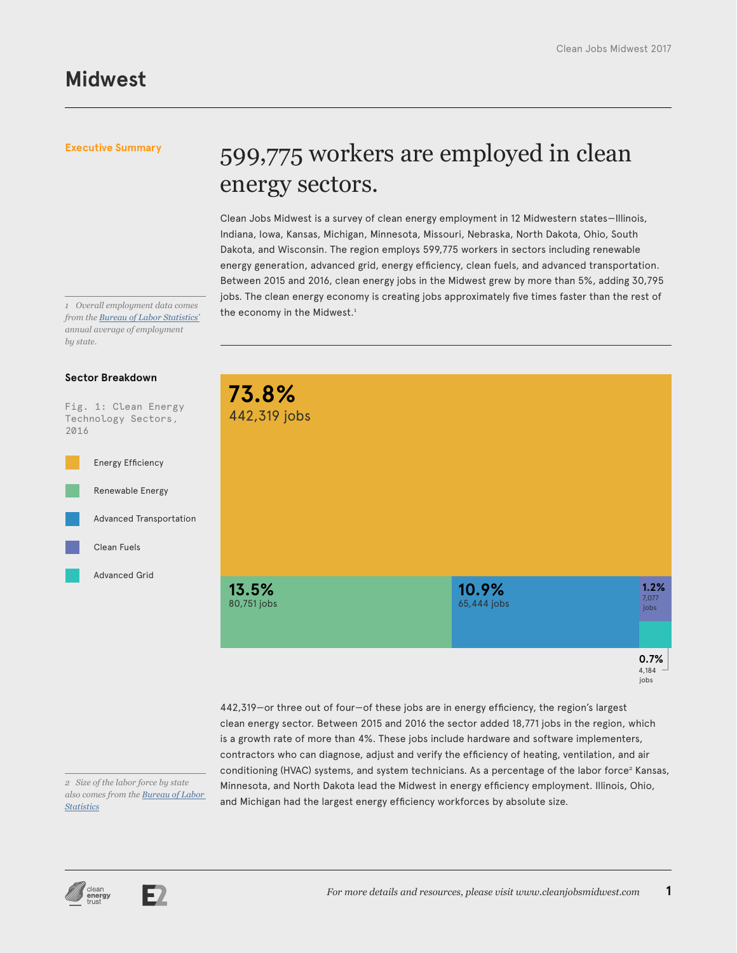## 599,775 workers are employed in clean energy sectors.

Clean Jobs Midwest is a survey of clean energy employment in 12 Midwestern states—Illinois, Indiana, Iowa, Kansas, Michigan, Minnesota, Missouri, Nebraska, North Dakota, Ohio, South Dakota, and Wisconsin. The region employs 599,775 workers in sectors including renewable energy generation, advanced grid, energy efficiency, clean fuels, and advanced transportation. Between 2015 and 2016, clean energy jobs in the Midwest grew by more than 5%, adding 30,795 jobs. The clean energy economy is creating jobs approximately five times faster than the rest of the economy in the Midwest.<sup>1</sup>

*1 Overall employment data comes from the [Bureau of Labor Statistics'](https://www.bls.gov/sae/) annual average of employment by state.*

#### **Sector Breakdown**

Fig. 1: Clean Energy Technology Sectors, 2016





442,319—or three out of four—of these jobs are in energy efficiency, the region's largest clean energy sector. Between 2015 and 2016 the sector added 18,771 jobs in the region, which is a growth rate of more than 4%. These jobs include hardware and software implementers, contractors who can diagnose, adjust and verify the efficiency of heating, ventilation, and air conditioning (HVAC) systems, and system technicians. As a percentage of the labor force<sup>2</sup> Kansas, Minnesota, and North Dakota lead the Midwest in energy efficiency employment. Illinois, Ohio, and Michigan had the largest energy efficiency workforces by absolute size.

*2 Size of the labor force by state also comes from the [Bureau of Labor](https://www.bls.gov/lau/#cntyaa)  [Statistics](https://www.bls.gov/lau/#cntyaa)*



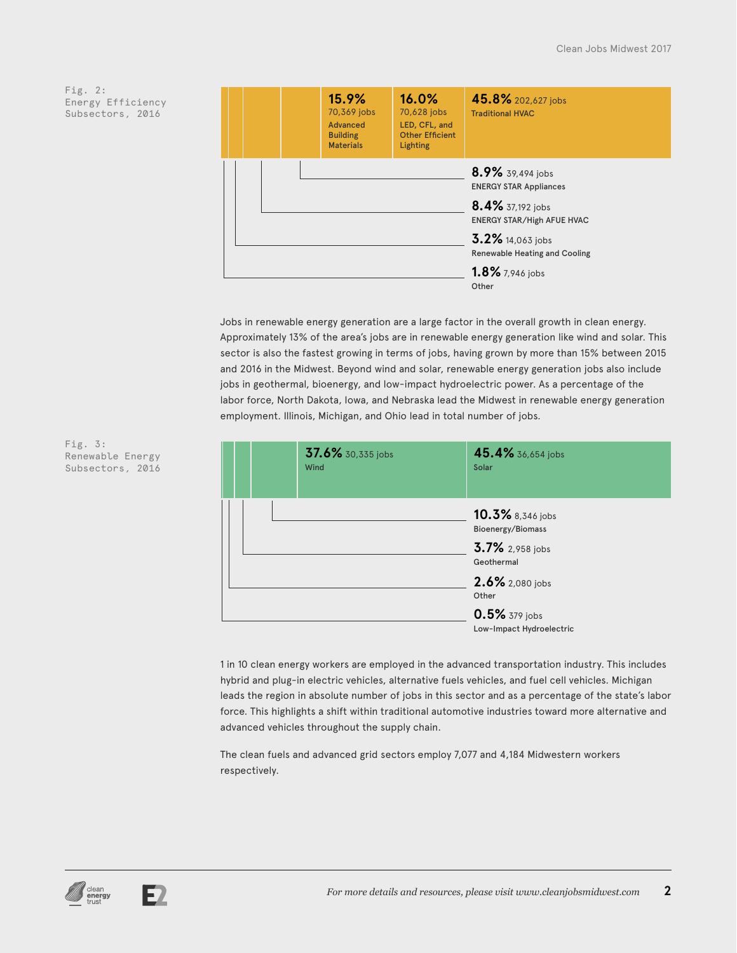

Jobs in renewable energy generation are a large factor in the overall growth in clean energy. Approximately 13% of the area's jobs are in renewable energy generation like wind and solar. This sector is also the fastest growing in terms of jobs, having grown by more than 15% between 2015 and 2016 in the Midwest. Beyond wind and solar, renewable energy generation jobs also include jobs in geothermal, bioenergy, and low-impact hydroelectric power. As a percentage of the labor force, North Dakota, Iowa, and Nebraska lead the Midwest in renewable energy generation employment. Illinois, Michigan, and Ohio lead in total number of jobs.

|  | 37.6% 30,335 jobs<br>Wind | 45.4% 36,654 jobs<br>Solar                                                                         |  |
|--|---------------------------|----------------------------------------------------------------------------------------------------|--|
|  |                           | 10.3% 8,346 jobs<br>Bioenergy/Biomass<br>3.7% 2,958 jobs<br>Geothermal<br>2.6% 2,080 jobs<br>Other |  |
|  |                           | 0.5% 379 jobs<br>Low-Impact Hydroelectric                                                          |  |

1 in 10 clean energy workers are employed in the advanced transportation industry. This includes hybrid and plug-in electric vehicles, alternative fuels vehicles, and fuel cell vehicles. Michigan leads the region in absolute number of jobs in this sector and as a percentage of the state's labor force. This highlights a shift within traditional automotive industries toward more alternative and advanced vehicles throughout the supply chain.

The clean fuels and advanced grid sectors employ 7,077 and 4,184 Midwestern workers respectively.

Fig. 3: Renewable Energy Subsectors, 2016

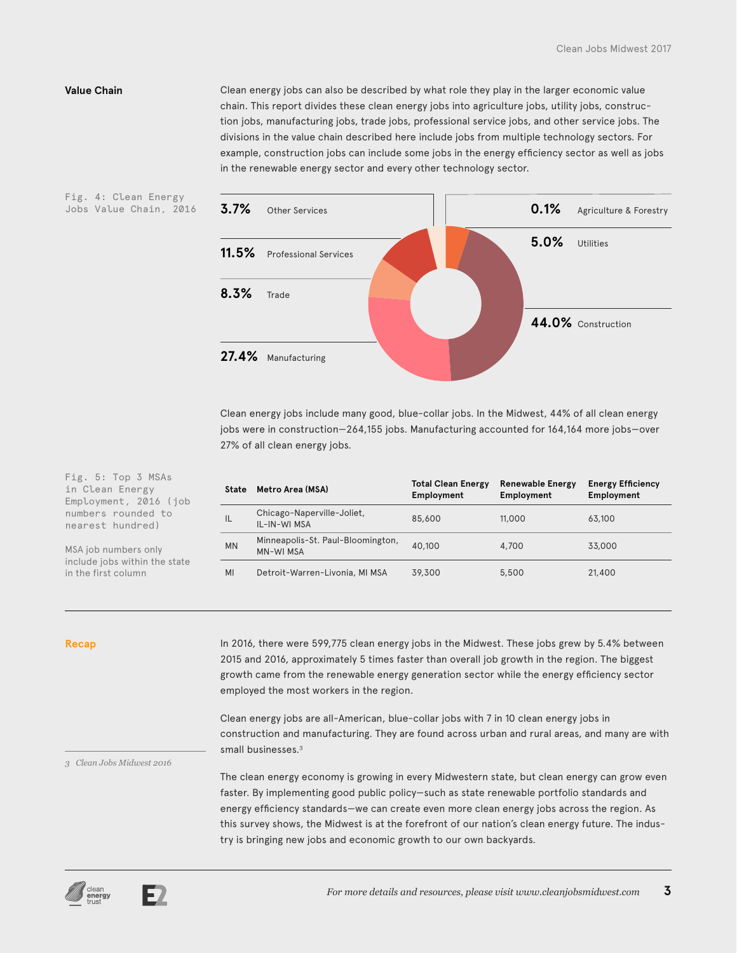Fig. 4: Clean Energy Jobs Value Chain, 2016

**Value Chain** Clean energy jobs can also be described by what role they play in the larger economic value chain. This report divides these clean energy jobs into agriculture jobs, utility jobs, construction jobs, manufacturing jobs, trade jobs, professional service jobs, and other service jobs. The divisions in the value chain described here include jobs from multiple technology sectors. For example, construction jobs can include some jobs in the energy efficiency sector as well as jobs in the renewable energy sector and every other technology sector.



Clean energy jobs include many good, blue-collar jobs. In the Midwest, 44% of all clean energy jobs were in construction—264,155 jobs. Manufacturing accounted for 164,164 more jobs—over 27% of all clean energy jobs.

| <b>State</b> | Metro Area (MSA)                                      | <b>Total Clean Energy</b><br>Employment | <b>Renewable Energy</b><br>Employment | <b>Energy Efficiency</b><br>Employment |
|--------------|-------------------------------------------------------|-----------------------------------------|---------------------------------------|----------------------------------------|
| IL           | Chicago-Naperville-Joliet,<br>IL-IN-WI MSA            | 85,600                                  | 11,000                                | 63,100                                 |
| <b>MN</b>    | Minneapolis-St. Paul-Bloomington,<br><b>MN-WI MSA</b> | 40,100                                  | 4,700                                 | 33,000                                 |
| MI           | Detroit-Warren-Livonia, MI MSA                        | 39,300                                  | 5,500                                 | 21,400                                 |

Recap **In 2016, there were 599,775 clean energy jobs in the Midwest. These jobs grew by 5.4% between** 2015 and 2016, approximately 5 times faster than overall job growth in the region. The biggest growth came from the renewable energy generation sector while the energy efficiency sector employed the most workers in the region.

> Clean energy jobs are all-American, blue-collar jobs with 7 in 10 clean energy jobs in construction and manufacturing. They are found across urban and rural areas, and many are with small businesses.<sup>3</sup>

*3 Clean Jobs Midwest 2016*

Fig. 5: Top 3 MSAs in Clean Energy Employment, 2016 (job numbers rounded to nearest hundred)

MSA job numbers only include jobs within the state

in the first column

The clean energy economy is growing in every Midwestern state, but clean energy can grow even faster. By implementing good public policy—such as state renewable portfolio standards and energy efficiency standards—we can create even more clean energy jobs across the region. As this survey shows, the Midwest is at the forefront of our nation's clean energy future. The industry is bringing new jobs and economic growth to our own backyards.



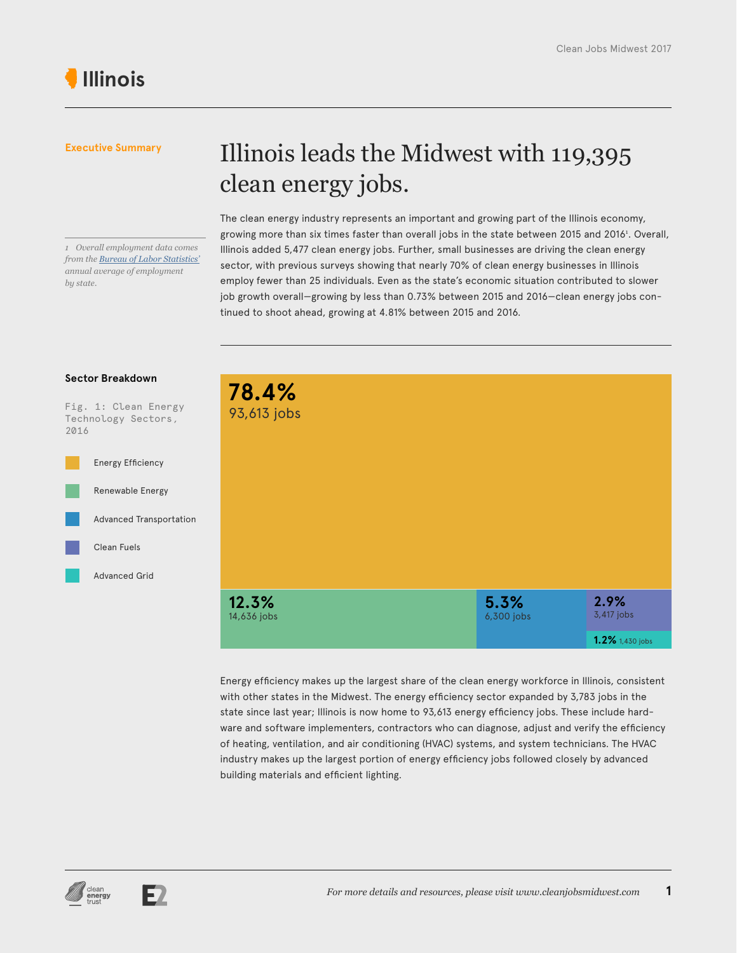#### *1 Overall employment data comes from the [Bureau of Labor Statistics'](https://www.bls.gov/sae/) annual average of employment by state.*

## Illinois leads the Midwest with 119,395 clean energy jobs.

The clean energy industry represents an important and growing part of the Illinois economy, growing more than six times faster than overall jobs in the state between 2015 and 2016<sup>1</sup> . Overall, Illinois added 5,477 clean energy jobs. Further, small businesses are driving the clean energy sector, with previous surveys showing that nearly 70% of clean energy businesses in Illinois employ fewer than 25 individuals. Even as the state's economic situation contributed to slower job growth overall—growing by less than 0.73% between 2015 and 2016—clean energy jobs continued to shoot ahead, growing at 4.81% between 2015 and 2016.

#### **Sector Breakdown**

Fig. 1: Clean Energy Technology Sectors, 2016



| 78.4%<br>93,613 jobs |                    |                                       |
|----------------------|--------------------|---------------------------------------|
| 12.3%<br>14,636 jobs | 5.3%<br>6,300 jobs | 2.9%<br>3,417 jobs<br>1.2% 1,430 jobs |

Energy efficiency makes up the largest share of the clean energy workforce in Illinois, consistent with other states in the Midwest. The energy efficiency sector expanded by 3,783 jobs in the state since last year; Illinois is now home to 93,613 energy efficiency jobs. These include hardware and software implementers, contractors who can diagnose, adjust and verify the efficiency of heating, ventilation, and air conditioning (HVAC) systems, and system technicians. The HVAC industry makes up the largest portion of energy efficiency jobs followed closely by advanced building materials and efficient lighting.



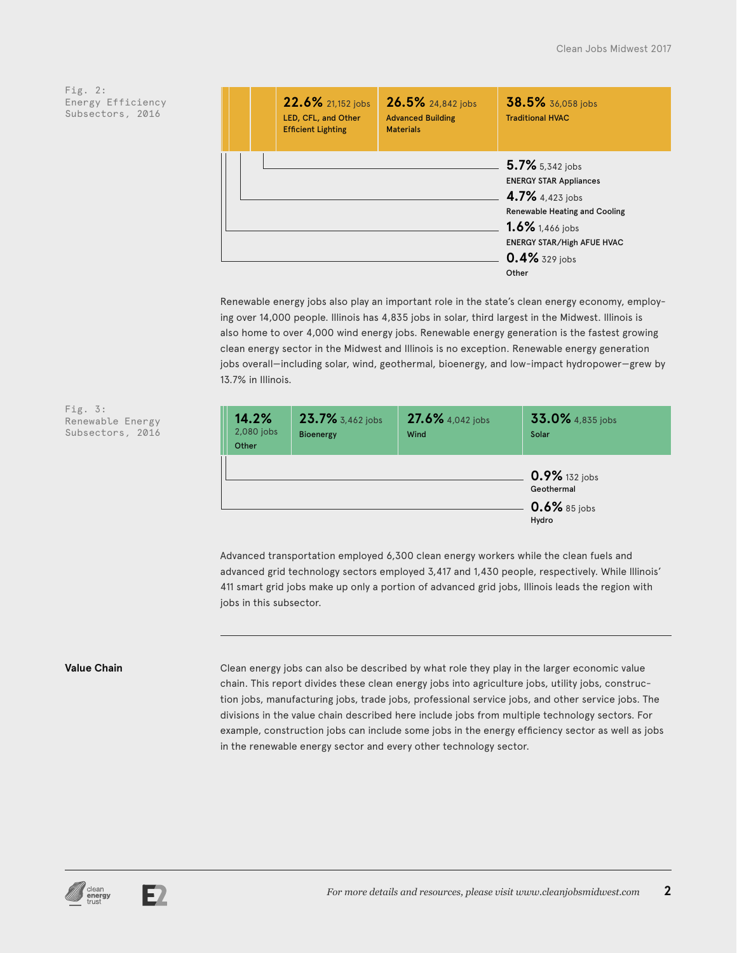| 22.6% 21,152 jobs<br>LED, CFL, and Other<br><b>Efficient Lighting</b> | 26.5% 24,842 jobs<br><b>Advanced Building</b><br><b>Materials</b> | 38.5% 36,058 jobs<br><b>Traditional HVAC</b>                                                                                                                                                  |
|-----------------------------------------------------------------------|-------------------------------------------------------------------|-----------------------------------------------------------------------------------------------------------------------------------------------------------------------------------------------|
|                                                                       |                                                                   | 5.7% 5,342 jobs<br><b>ENERGY STAR Appliances</b><br>4.7% 4,423 jobs<br><b>Renewable Heating and Cooling</b><br>1.6% 1,466 jobs<br><b>ENERGY STAR/High AFUE HVAC</b><br>0.4% 329 jobs<br>Other |

Renewable energy jobs also play an important role in the state's clean energy economy, employing over 14,000 people. Illinois has 4,835 jobs in solar, third largest in the Midwest. Illinois is also home to over 4,000 wind energy jobs. Renewable energy generation is the fastest growing clean energy sector in the Midwest and Illinois is no exception. Renewable energy generation jobs overall—including solar, wind, geothermal, bioenergy, and low-impact hydropower—grew by 13.7% in Illinois.



Advanced transportation employed 6,300 clean energy workers while the clean fuels and advanced grid technology sectors employed 3,417 and 1,430 people, respectively. While Illinois' 411 smart grid jobs make up only a portion of advanced grid jobs, Illinois leads the region with jobs in this subsector.

### **Value Chain**

Clean energy jobs can also be described by what role they play in the larger economic value chain. This report divides these clean energy jobs into agriculture jobs, utility jobs, construction jobs, manufacturing jobs, trade jobs, professional service jobs, and other service jobs. The divisions in the value chain described here include jobs from multiple technology sectors. For example, construction jobs can include some jobs in the energy efficiency sector as well as jobs in the renewable energy sector and every other technology sector.

Fig. 3: Renewable Energy Subsectors, 2016



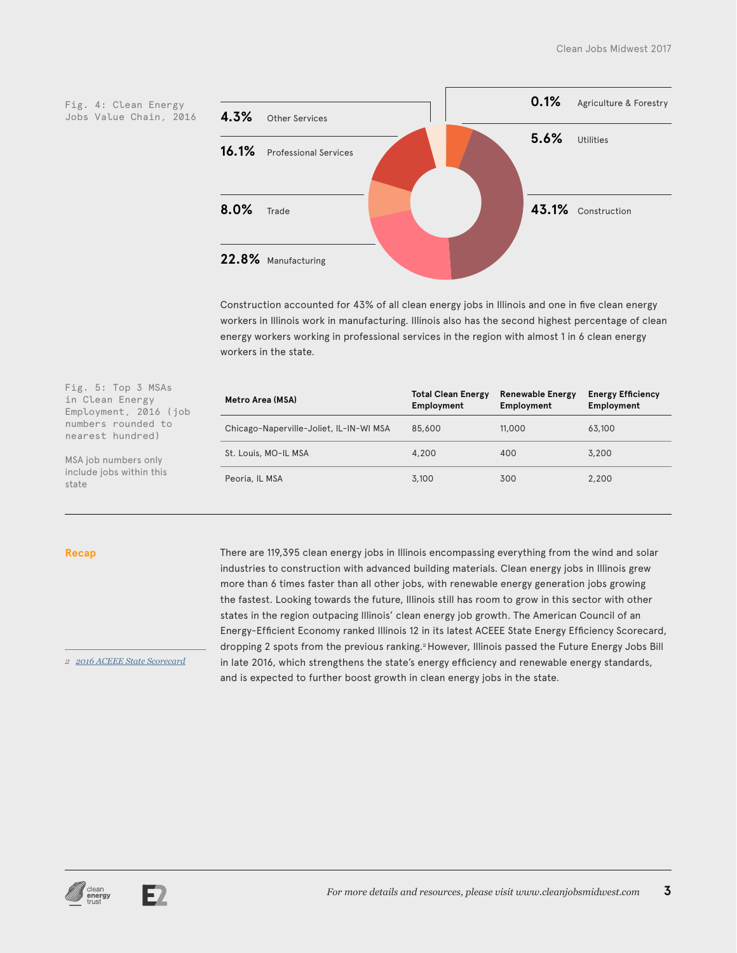Jobs Value Chain, 2016



Construction accounted for 43% of all clean energy jobs in Illinois and one in five clean energy workers in Illinois work in manufacturing. Illinois also has the second highest percentage of clean energy workers working in professional services in the region with almost 1 in 6 clean energy workers in the state.

| Fig. 5: Top 3 MSAs<br>in Clean Energy<br>Employment, 2016 (job | Metro Area (MSA)                        | <b>Total Clean Energy</b><br>Employment | <b>Renewable Energy</b><br>Employment | <b>Energy Efficiency</b><br>Employment |
|----------------------------------------------------------------|-----------------------------------------|-----------------------------------------|---------------------------------------|----------------------------------------|
| numbers rounded to<br>nearest hundred)                         | Chicago-Naperville-Joliet, IL-IN-WI MSA | 85,600                                  | 11,000                                | 63,100                                 |
| MSA job numbers only                                           | St. Louis, MO-IL MSA                    | 4,200                                   | 400                                   | 3,200                                  |
| include jobs within this<br>state                              | Peoria, IL MSA                          | 3,100                                   | 300                                   | 2,200                                  |

#### **Recap**

*2 [2016 ACEEE State Scorecard](http://database.aceee.org/state-scorecard-rank)*

There are 119,395 clean energy jobs in Illinois encompassing everything from the wind and solar industries to construction with advanced building materials. Clean energy jobs in Illinois grew more than 6 times faster than all other jobs, with renewable energy generation jobs growing the fastest. Looking towards the future, Illinois still has room to grow in this sector with other states in the region outpacing Illinois' clean energy job growth. The American Council of an Energy-Efficient Economy ranked Illinois 12 in its latest ACEEE State Energy Efficiency Scorecard, dropping 2 spots from the previous ranking.<sup>2</sup> However, Illinois passed the Future Energy Jobs Bill in late 2016, which strengthens the state's energy efficiency and renewable energy standards, and is expected to further boost growth in clean energy jobs in the state.



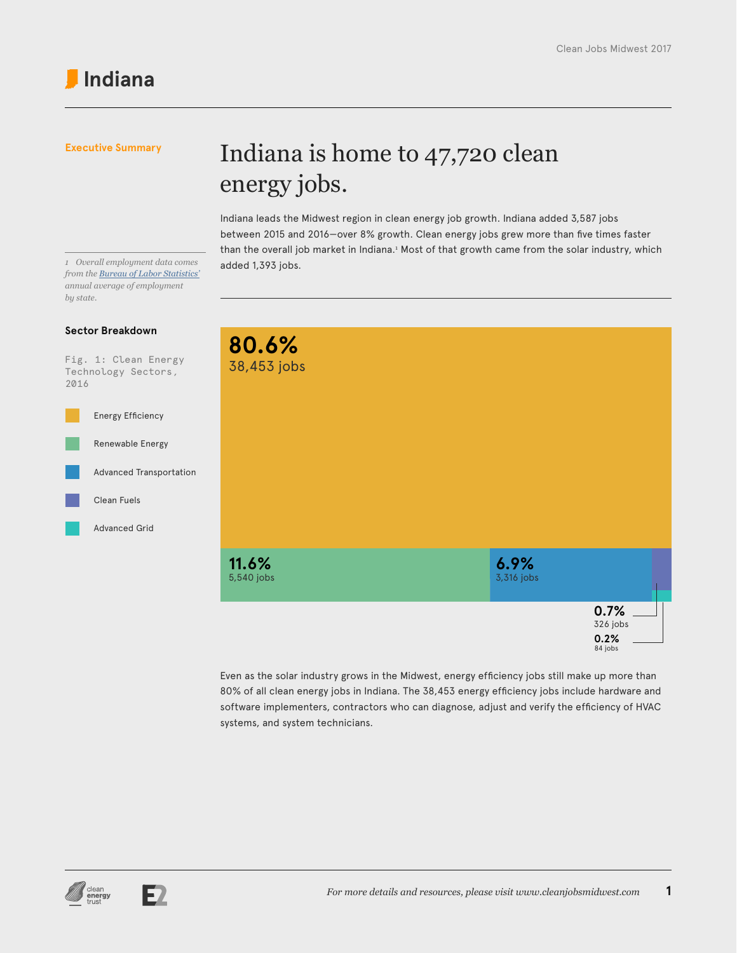## Indiana is home to 47,720 clean energy jobs.

Indiana leads the Midwest region in clean energy job growth. Indiana added 3,587 jobs between 2015 and 2016—over 8% growth. Clean energy jobs grew more than five times faster than the overall job market in Indiana.<sup>1</sup> Most of that growth came from the solar industry, which

added 1,393 jobs. *<sup>1</sup> Overall employment data comes from the [Bureau of Labor Statistics'](https://www.bls.gov/sae/) annual average of employment by state.*

## **Sector Breakdown**

Fig. 1: Clean Energy Technology Sectors, 2016





Even as the solar industry grows in the Midwest, energy efficiency jobs still make up more than 80% of all clean energy jobs in Indiana. The 38,453 energy efficiency jobs include hardware and software implementers, contractors who can diagnose, adjust and verify the efficiency of HVAC systems, and system technicians.



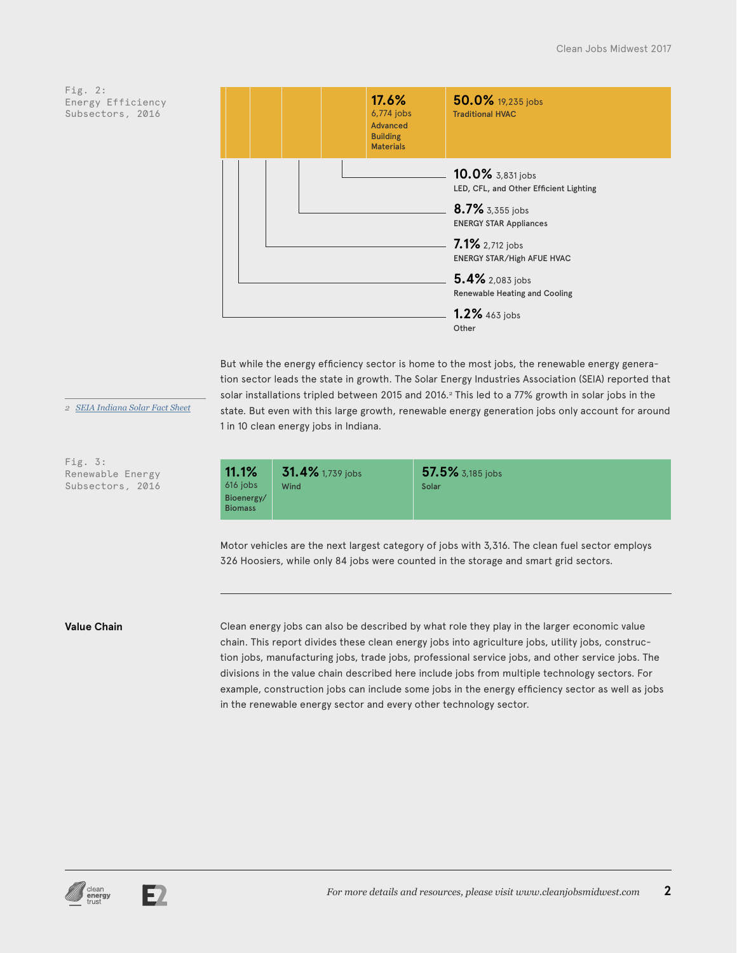

But while the energy efficiency sector is home to the most jobs, the renewable energy generation sector leads the state in growth. The Solar Energy Industries Association (SEIA) reported that solar installations tripled between 2015 and 2016.<sup>2</sup> This led to a 77% growth in solar jobs in the state. But even with this large growth, renewable energy generation jobs only account for around 1 in 10 clean energy jobs in Indiana.

*2 [SEIA Indiana Solar Fact Sheet](http://www.seia.org/state-solar-policy/indiana-solar)*

**11.1%**  $6<sup>7</sup>$ Bi Bi

Fig. 3: Renewable Energy Subsectors, 2016

| $1.1\%$  | $31.4\%$ 1,739 jobs | 57.5% 3,185 jobs |  |
|----------|---------------------|------------------|--|
| 6 jobs   | Wind                | Solar            |  |
| oenergy/ |                     |                  |  |
| omass    |                     |                  |  |

Motor vehicles are the next largest category of jobs with 3,316. The clean fuel sector employs 326 Hoosiers, while only 84 jobs were counted in the storage and smart grid sectors.

**Value Chain** Clean energy jobs can also be described by what role they play in the larger economic value chain. This report divides these clean energy jobs into agriculture jobs, utility jobs, construction jobs, manufacturing jobs, trade jobs, professional service jobs, and other service jobs. The divisions in the value chain described here include jobs from multiple technology sectors. For example, construction jobs can include some jobs in the energy efficiency sector as well as jobs in the renewable energy sector and every other technology sector.



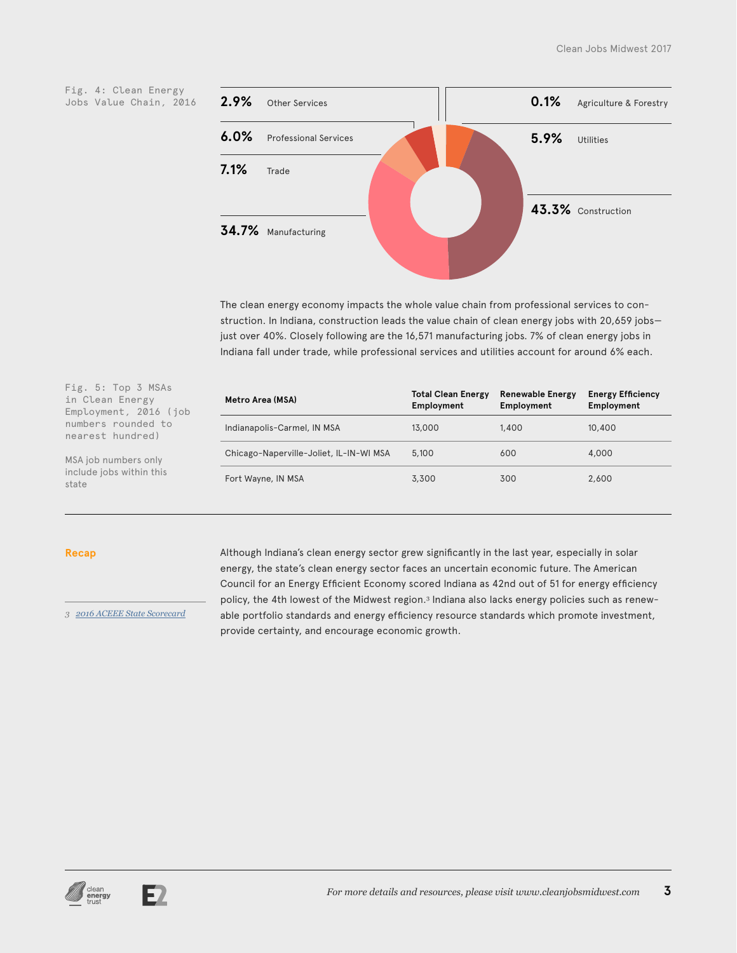



The clean energy economy impacts the whole value chain from professional services to construction. In Indiana, construction leads the value chain of clean energy jobs with 20,659 jobs just over 40%. Closely following are the 16,571 manufacturing jobs. 7% of clean energy jobs in Indiana fall under trade, while professional services and utilities account for around 6% each.

| Fig. 5: Top 3 MSAs<br>in Clean Energy<br>Employment, 2016 (job | Metro Area (MSA)                        | <b>Total Clean Energy</b><br>Employment | <b>Renewable Energy</b><br>Employment | <b>Energy Efficiency</b><br>Employment |
|----------------------------------------------------------------|-----------------------------------------|-----------------------------------------|---------------------------------------|----------------------------------------|
| numbers rounded to<br>nearest hundred)                         | Indianapolis-Carmel, IN MSA             | 13,000                                  | 1,400                                 | 10,400                                 |
| MSA job numbers only                                           | Chicago-Naperville-Joliet, IL-IN-WI MSA | 5,100                                   | 600                                   | 4,000                                  |
| include jobs within this<br>state                              | Fort Wayne, IN MSA                      | 3,300                                   | 300                                   | 2,600                                  |

#### **Recap**

*3 [2016 ACEEE State Scorecard](http://database.aceee.org/state-scorecard-rank)*

Although Indiana's clean energy sector grew significantly in the last year, especially in solar energy, the state's clean energy sector faces an uncertain economic future. The American Council for an Energy Efficient Economy scored Indiana as 42nd out of 51 for energy efficiency policy, the 4th lowest of the Midwest region.<sup>3</sup> Indiana also lacks energy policies such as renewable portfolio standards and energy efficiency resource standards which promote investment, provide certainty, and encourage economic growth.



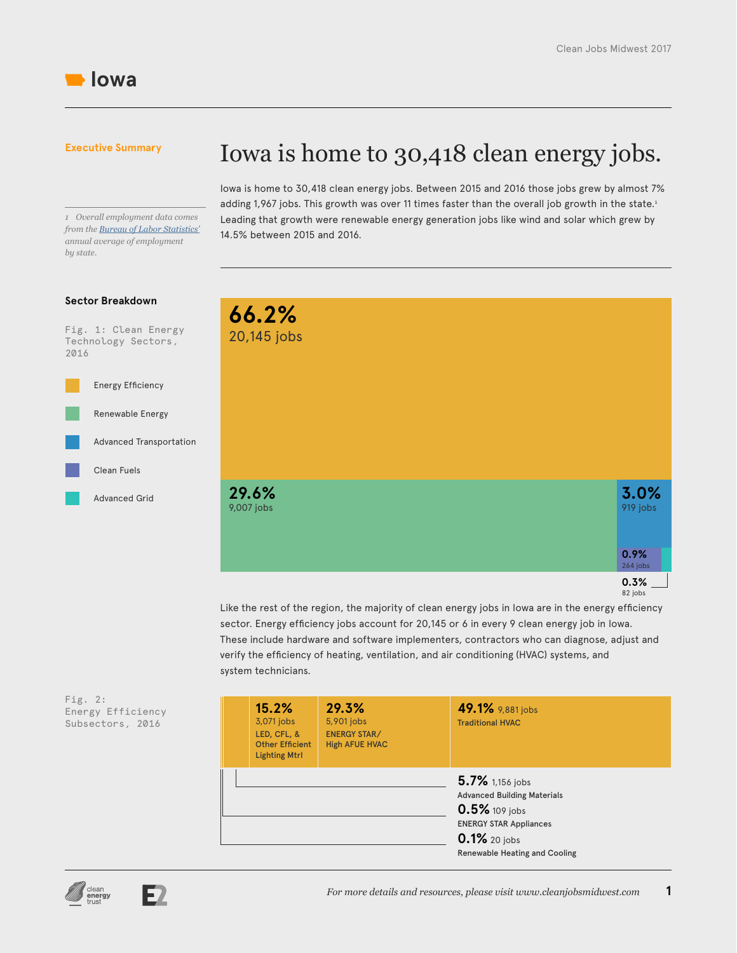

2016

*1 Overall employment data comes from the [Bureau of Labor Statistics'](https://www.bls.gov/sae/) annual average of employment by state.*

## Iowa is home to 30,418 clean energy jobs.

Iowa is home to 30,418 clean energy jobs. Between 2015 and 2016 those jobs grew by almost 7% adding 1,967 jobs. This growth was over 11 times faster than the overall job growth in the state.<sup>1</sup> Leading that growth were renewable energy generation jobs like wind and solar which grew by 14.5% between 2015 and 2016.

## Fig. 1: Clean Energy Technology Sectors, **Sector Breakdown 66.2%** 20,145 jobs Energy Efficiency Renewable Energy Advanced Grid Advanced Transportation Clean Fuels **0.3%** 82 jobs **0.9%** 264 jobs **29.6%** 9,007 jobs **3.0%** 919 jobs

Like the rest of the region, the majority of clean energy jobs in Iowa are in the energy efficiency sector. Energy efficiency jobs account for 20,145 or 6 in every 9 clean energy job in Iowa. These include hardware and software implementers, contractors who can diagnose, adjust and verify the efficiency of heating, ventilation, and air conditioning (HVAC) systems, and system technicians.

| Fig. $2:$ |                   |
|-----------|-------------------|
|           | Energy Efficiency |
|           | Subsectors, 2016  |
|           |                   |

|  | 15.2%<br>3,071 jobs<br>LED, CFL, &<br><b>Other Efficient</b><br><b>Lighting Mtrl</b> | 29.3%<br>5,901 jobs<br><b>ENERGY STAR/</b><br><b>High AFUE HVAC</b> | 49.1% 9,881 jobs<br><b>Traditional HVAC</b>                                                                                                              |
|--|--------------------------------------------------------------------------------------|---------------------------------------------------------------------|----------------------------------------------------------------------------------------------------------------------------------------------------------|
|  |                                                                                      |                                                                     | 5.7% 1,156 jobs<br><b>Advanced Building Materials</b><br>0.5% 109 jobs<br><b>ENERGY STAR Appliances</b><br>0.1% 20 jobs<br>Renewable Heating and Cooling |



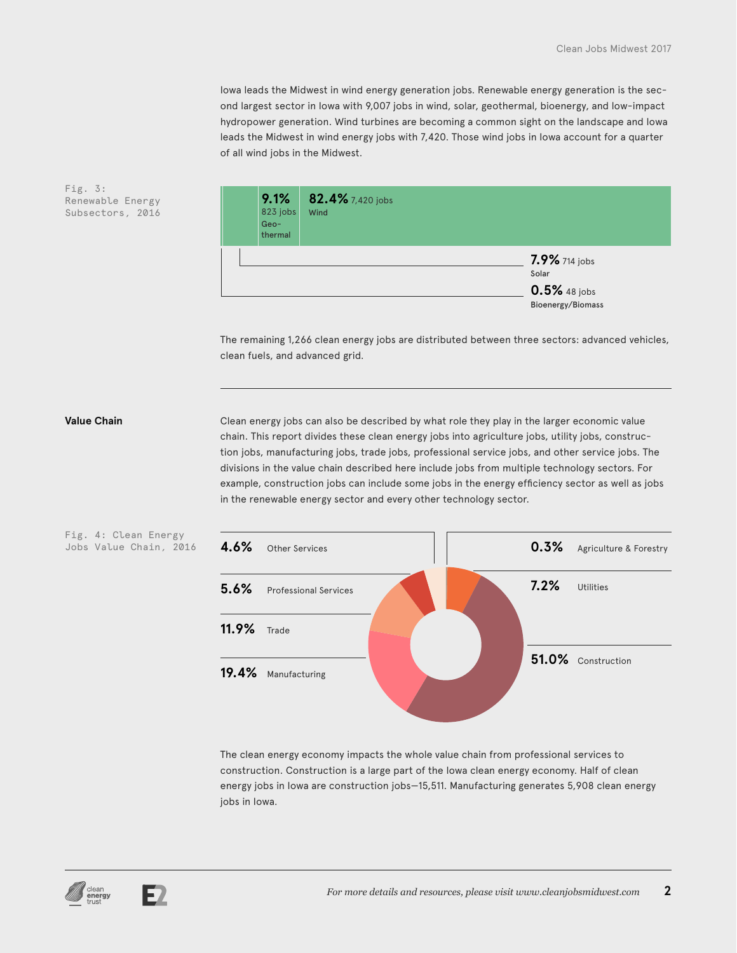Iowa leads the Midwest in wind energy generation jobs. Renewable energy generation is the second largest sector in Iowa with 9,007 jobs in wind, solar, geothermal, bioenergy, and low-impact hydropower generation. Wind turbines are becoming a common sight on the landscape and Iowa leads the Midwest in wind energy jobs with 7,420. Those wind jobs in Iowa account for a quarter of all wind jobs in the Midwest.



The remaining 1,266 clean energy jobs are distributed between three sectors: advanced vehicles, clean fuels, and advanced grid.

Fig. 4: Clean Energy

**Value Chain** Clean energy jobs can also be described by what role they play in the larger economic value chain. This report divides these clean energy jobs into agriculture jobs, utility jobs, construction jobs, manufacturing jobs, trade jobs, professional service jobs, and other service jobs. The divisions in the value chain described here include jobs from multiple technology sectors. For example, construction jobs can include some jobs in the energy efficiency sector as well as jobs in the renewable energy sector and every other technology sector.



The clean energy economy impacts the whole value chain from professional services to construction. Construction is a large part of the Iowa clean energy economy. Half of clean energy jobs in Iowa are construction jobs—15,511. Manufacturing generates 5,908 clean energy jobs in Iowa.

Fig. 3: Renewable Energy Subsectors, 2016



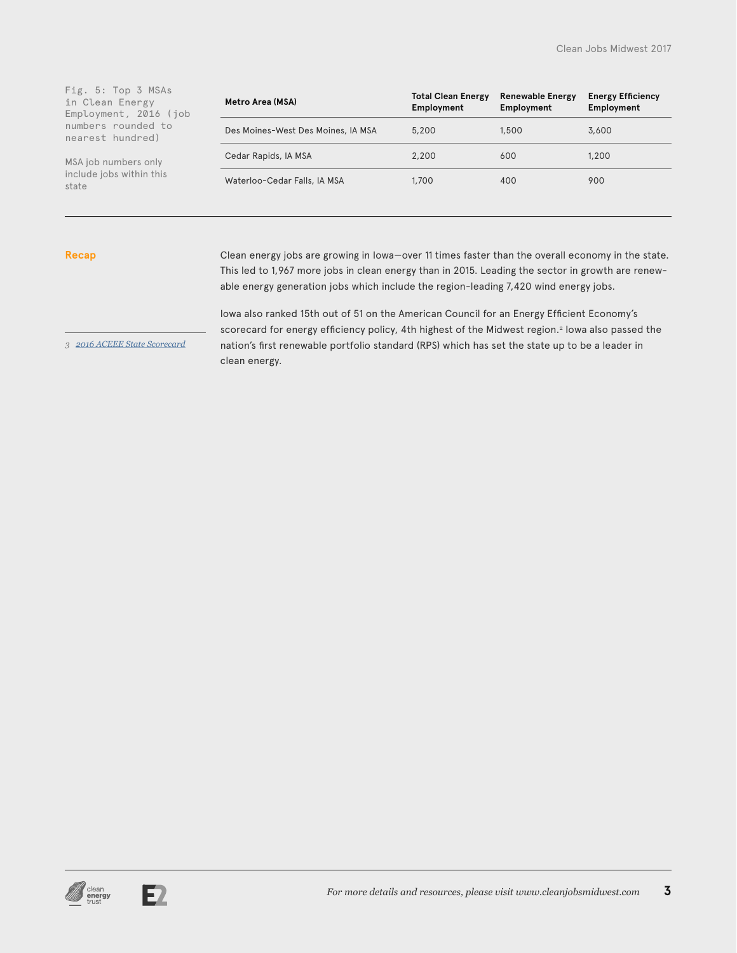| Fig. 5: Top 3 MSAs<br>in Clean Energy<br>Employment, 2016 (job | Metro Area (MSA)                   | <b>Total Clean Energy</b><br>Employment | <b>Renewable Energy</b><br>Employment | <b>Energy Efficiency</b><br>Employment |
|----------------------------------------------------------------|------------------------------------|-----------------------------------------|---------------------------------------|----------------------------------------|
| numbers rounded to<br>nearest hundred)                         | Des Moines-West Des Moines, IA MSA | 5.200                                   | 1,500                                 | 3,600                                  |
| MSA job numbers only                                           | Cedar Rapids, IA MSA               | 2,200                                   | 600                                   | 1,200                                  |
| include jobs within this<br>state                              | Waterloo-Cedar Falls, IA MSA       | 1,700                                   | 400                                   | 900                                    |

#### **Recap**

Clean energy jobs are growing in Iowa—over 11 times faster than the overall economy in the state. This led to 1,967 more jobs in clean energy than in 2015. Leading the sector in growth are renewable energy generation jobs which include the region-leading 7,420 wind energy jobs.

Iowa also ranked 15th out of 51 on the American Council for an Energy Efficient Economy's scorecard for energy efficiency policy, 4th highest of the Midwest region.<sup>2</sup> Iowa also passed the nation's first renewable portfolio standard (RPS) which has set the state up to be a leader in clean energy.

*3 [2016 ACEEE State Scorecard](http://database.aceee.org/state-scorecard-rank)*



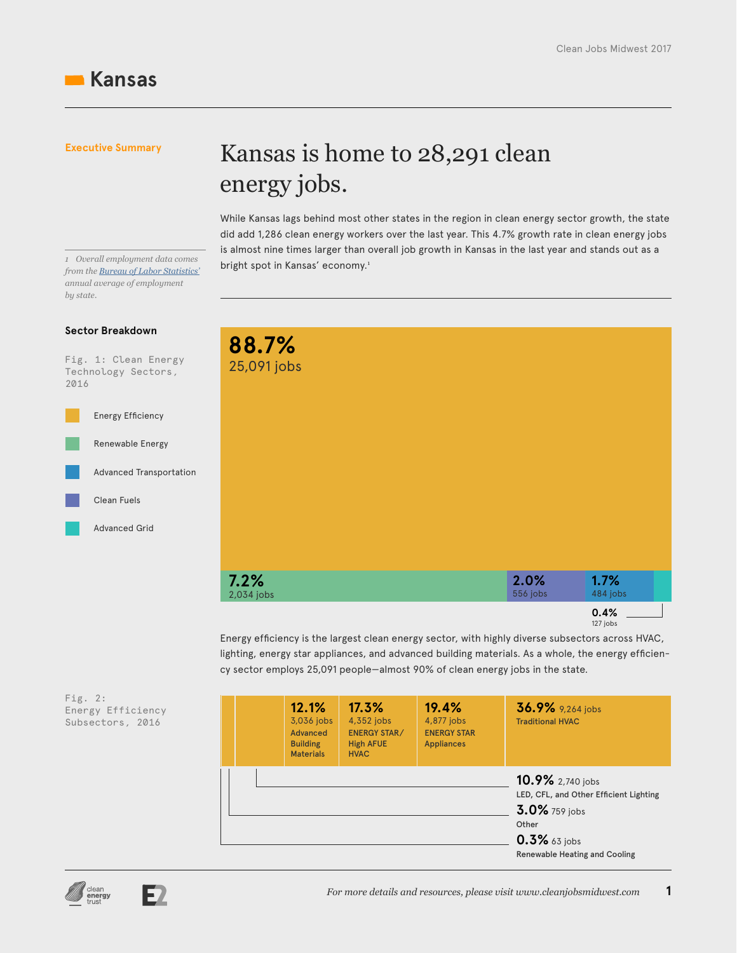bright spot in Kansas' economy.<sup>1</sup> *<sup>1</sup> Overall employment data comes from the [Bureau of Labor Statistics'](https://www.bls.gov/sae/) annual average of employment by state.*

### **Sector Breakdown**

Fig. 1: Clean Energy Technology Sectors, 2016



energy jobs. While Kansas lags behind most other states in the region in clean energy sector growth, the state did add 1,286 clean energy workers over the last year. This 4.7% growth rate in clean energy jobs

is almost nine times larger than overall job growth in Kansas in the last year and stands out as a

Kansas is home to 28,291 clean

| 88.7%<br>25,091 jobs |                  |                  |
|----------------------|------------------|------------------|
|                      |                  |                  |
|                      |                  |                  |
|                      |                  |                  |
|                      |                  |                  |
|                      |                  |                  |
|                      |                  |                  |
|                      |                  |                  |
| 7.2%<br>2,034 jobs   | 2.0%<br>556 jobs | 1.7%<br>484 jobs |

Energy efficiency is the largest clean energy sector, with highly diverse subsectors across HVAC, lighting, energy star appliances, and advanced building materials. As a whole, the energy efficiency sector employs 25,091 people—almost 90% of clean energy jobs in the state.

Fig. 2: Energy Efficiency Subsectors, 2016

|  | 12.1%<br>3,036 jobs<br><b>Advanced</b><br><b>Building</b><br><b>Materials</b> | 17.3%<br>4,352 jobs<br><b>ENERGY STAR/</b><br><b>High AFUE</b><br><b>HVAC</b> | 19.4%<br>4,877 jobs<br><b>ENERGY STAR</b><br><b>Appliances</b> | 36.9% 9,264 jobs<br><b>Traditional HVAC</b>                                                                                              |
|--|-------------------------------------------------------------------------------|-------------------------------------------------------------------------------|----------------------------------------------------------------|------------------------------------------------------------------------------------------------------------------------------------------|
|  |                                                                               |                                                                               |                                                                | 10.9% 2,740 jobs<br>LED, CFL, and Other Efficient Lighting<br>3.0% 759 jobs<br>Other<br>$0.3\%$ 63 jobs<br>Renewable Heating and Cooling |



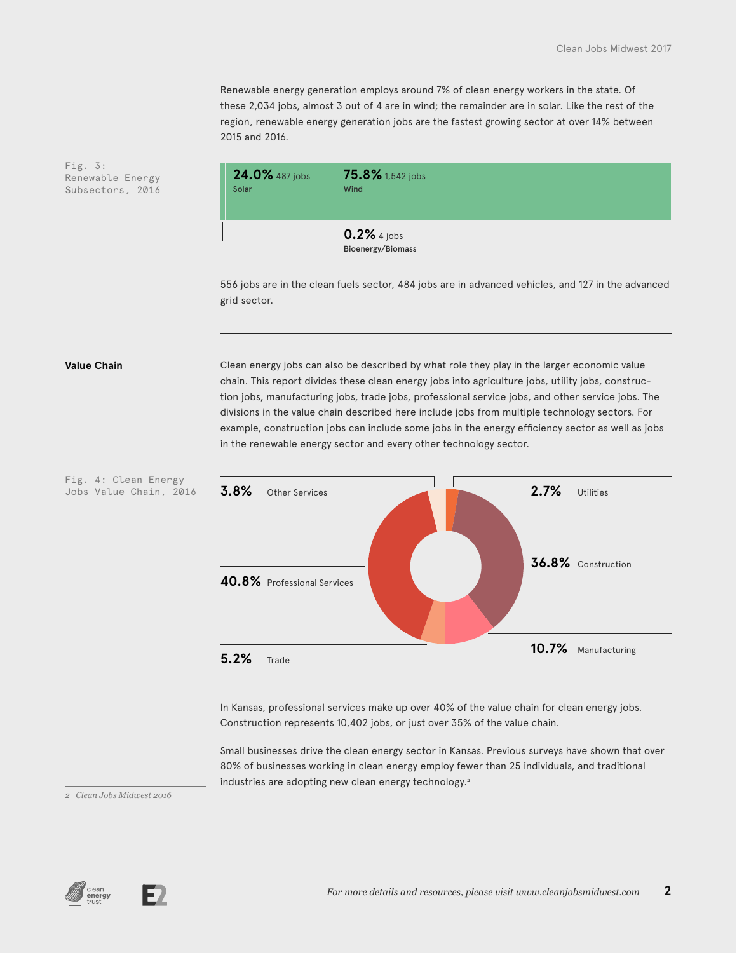Renewable energy generation employs around 7% of clean energy workers in the state. Of these 2,034 jobs, almost 3 out of 4 are in wind; the remainder are in solar. Like the rest of the region, renewable energy generation jobs are the fastest growing sector at over 14% between 2015 and 2016.

Fig. 3: Renewable Energy Subsectors, 2016



556 jobs are in the clean fuels sector, 484 jobs are in advanced vehicles, and 127 in the advanced grid sector.

Fig. 4: Clean Energy

**Value Chain** Clean energy jobs can also be described by what role they play in the larger economic value chain. This report divides these clean energy jobs into agriculture jobs, utility jobs, construction jobs, manufacturing jobs, trade jobs, professional service jobs, and other service jobs. The divisions in the value chain described here include jobs from multiple technology sectors. For example, construction jobs can include some jobs in the energy efficiency sector as well as jobs in the renewable energy sector and every other technology sector.



In Kansas, professional services make up over 40% of the value chain for clean energy jobs. Construction represents 10,402 jobs, or just over 35% of the value chain.

Small businesses drive the clean energy sector in Kansas. Previous surveys have shown that over 80% of businesses working in clean energy employ fewer than 25 individuals, and traditional industries are adopting new clean energy technology.<sup>2</sup>

*2 Clean Jobs Midwest 2016*



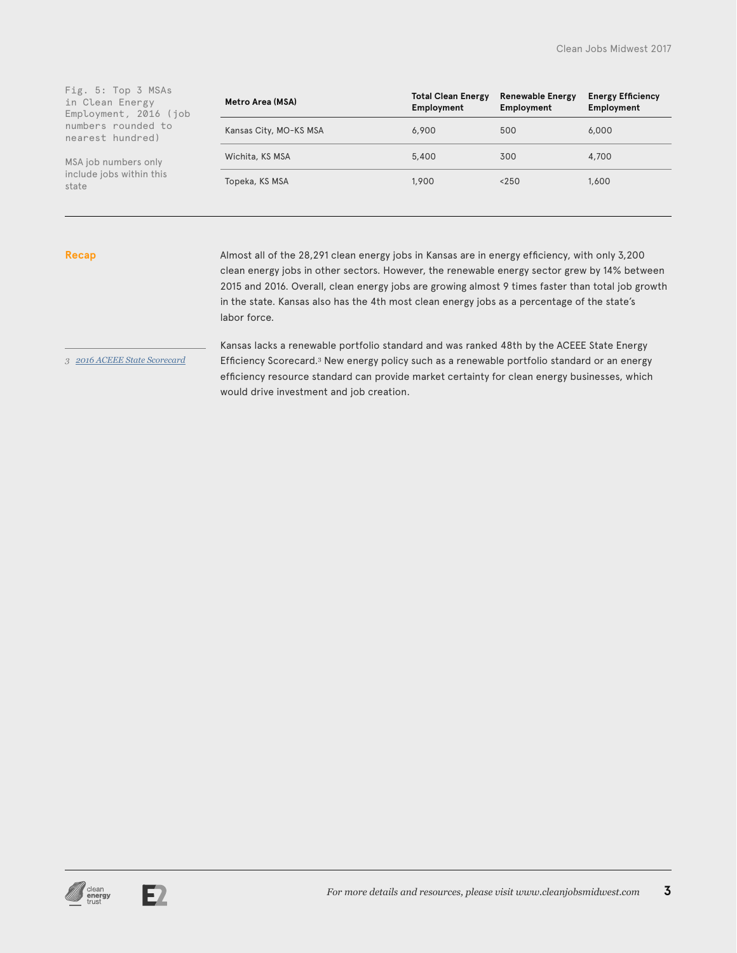| Fig. 5: Top 3 MSAs<br>in Clean Energy<br>Employment, 2016 (job | Metro Area (MSA)       | <b>Total Clean Energy</b><br>Employment | <b>Renewable Energy</b><br>Employment | <b>Energy Efficiency</b><br>Employment |
|----------------------------------------------------------------|------------------------|-----------------------------------------|---------------------------------------|----------------------------------------|
| numbers rounded to<br>nearest hundred)                         | Kansas City, MO-KS MSA | 6.900                                   | 500                                   | 6,000                                  |
| MSA job numbers only                                           | Wichita, KS MSA        | 5.400                                   | 300                                   | 4,700                                  |
| include jobs within this<br>state                              | Topeka, KS MSA         | 1,900                                   | < 250                                 | 1,600                                  |

#### **Recap**

Almost all of the 28,291 clean energy jobs in Kansas are in energy efficiency, with only 3,200 clean energy jobs in other sectors. However, the renewable energy sector grew by 14% between 2015 and 2016. Overall, clean energy jobs are growing almost 9 times faster than total job growth in the state. Kansas also has the 4th most clean energy jobs as a percentage of the state's labor force.

*3 [2016 ACEEE State Scorecard](http://database.aceee.org/state-scorecard-rank)*

Kansas lacks a renewable portfolio standard and was ranked 48th by the ACEEE State Energy Efficiency Scorecard.<sup>3</sup> New energy policy such as a renewable portfolio standard or an energy efficiency resource standard can provide market certainty for clean energy businesses, which would drive investment and job creation.



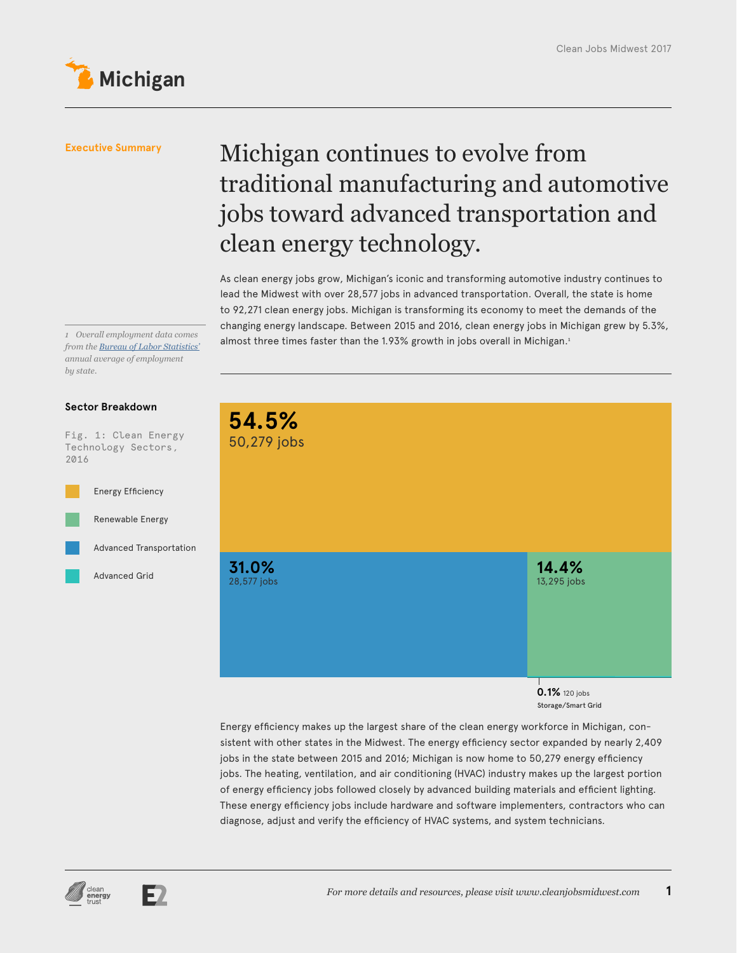

## Michigan continues to evolve from traditional manufacturing and automotive jobs toward advanced transportation and clean energy technology.

As clean energy jobs grow, Michigan's iconic and transforming automotive industry continues to lead the Midwest with over 28,577 jobs in advanced transportation. Overall, the state is home to 92,271 clean energy jobs. Michigan is transforming its economy to meet the demands of the changing energy landscape. Between 2015 and 2016, clean energy jobs in Michigan grew by 5.3%, almost three times faster than the 1.93% growth in jobs overall in Michigan.<sup>1</sup> *<sup>1</sup> Overall employment data comes* 

*from the [Bureau of Labor Statistics'](https://www.bls.gov/sae/) annual average of employment by state.*

### **Sector Breakdown**

Fig. 1: Clean Energy Technology Sectors, 2016





**0.1%** 120 jobs Storage/Smart Grid

Energy efficiency makes up the largest share of the clean energy workforce in Michigan, consistent with other states in the Midwest. The energy efficiency sector expanded by nearly 2,409 jobs in the state between 2015 and 2016; Michigan is now home to 50,279 energy efficiency jobs. The heating, ventilation, and air conditioning (HVAC) industry makes up the largest portion of energy efficiency jobs followed closely by advanced building materials and efficient lighting. These energy efficiency jobs include hardware and software implementers, contractors who can diagnose, adjust and verify the efficiency of HVAC systems, and system technicians.



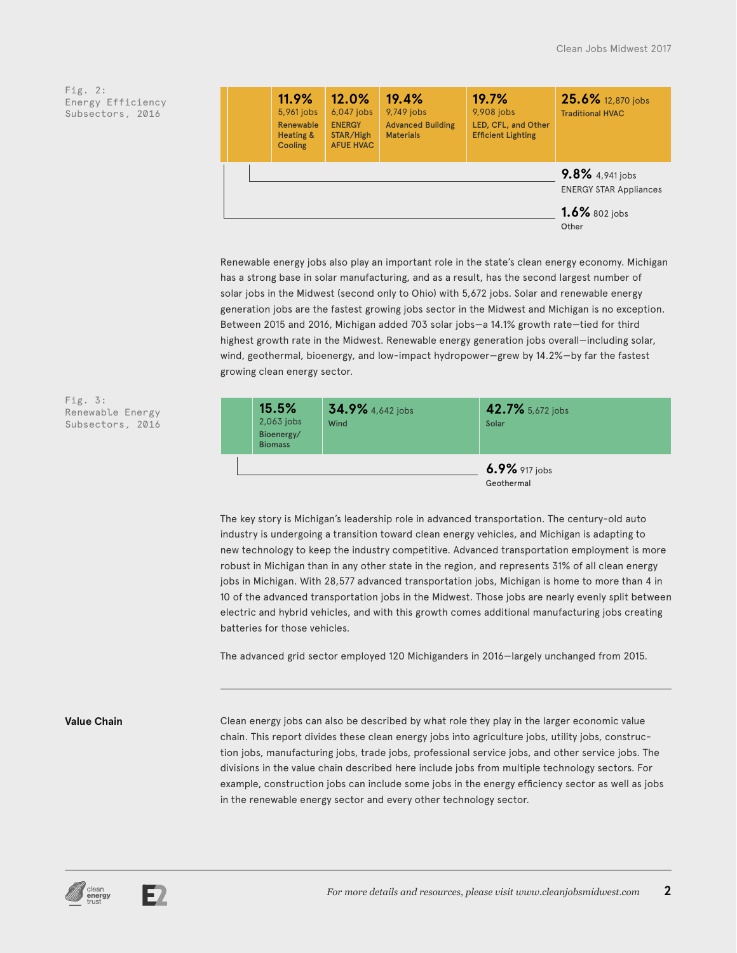|  | 11.9%<br>5,961 jobs<br>Renewable<br><b>Heating &amp;</b><br>Cooling | 12.0%<br>$6,047$ jobs<br><b>ENERGY</b><br>STAR/High<br><b>AFUE HVAC</b> | 19.4%<br>9,749 jobs<br><b>Advanced Building</b><br><b>Materials</b> | 19.7%<br>9,908 jobs<br>LED, CFL, and Other<br><b>Efficient Lighting</b> | 25.6% 12,870 jobs<br><b>Traditional HVAC</b>                         |
|--|---------------------------------------------------------------------|-------------------------------------------------------------------------|---------------------------------------------------------------------|-------------------------------------------------------------------------|----------------------------------------------------------------------|
|  |                                                                     |                                                                         |                                                                     |                                                                         | 9.8% 4,941 jobs<br><b>ENERGY STAR Appliances</b><br>$1.6\%$ 802 jobs |
|  |                                                                     |                                                                         |                                                                     |                                                                         | Other                                                                |

Renewable energy jobs also play an important role in the state's clean energy economy. Michigan has a strong base in solar manufacturing, and as a result, has the second largest number of solar jobs in the Midwest (second only to Ohio) with 5,672 jobs. Solar and renewable energy generation jobs are the fastest growing jobs sector in the Midwest and Michigan is no exception. Between 2015 and 2016, Michigan added 703 solar jobs—a 14.1% growth rate—tied for third highest growth rate in the Midwest. Renewable energy generation jobs overall—including solar, wind, geothermal, bioenergy, and low-impact hydropower—grew by 14.2%—by far the fastest growing clean energy sector.



The key story is Michigan's leadership role in advanced transportation. The century-old auto industry is undergoing a transition toward clean energy vehicles, and Michigan is adapting to new technology to keep the industry competitive. Advanced transportation employment is more robust in Michigan than in any other state in the region, and represents 31% of all clean energy jobs in Michigan. With 28,577 advanced transportation jobs, Michigan is home to more than 4 in 10 of the advanced transportation jobs in the Midwest. Those jobs are nearly evenly split between electric and hybrid vehicles, and with this growth comes additional manufacturing jobs creating batteries for those vehicles.

The advanced grid sector employed 120 Michiganders in 2016—largely unchanged from 2015.

Fig. 3:

Renewable Energy Subsectors, 2016

**Value Chain** Clean energy jobs can also be described by what role they play in the larger economic value chain. This report divides these clean energy jobs into agriculture jobs, utility jobs, construction jobs, manufacturing jobs, trade jobs, professional service jobs, and other service jobs. The divisions in the value chain described here include jobs from multiple technology sectors. For example, construction jobs can include some jobs in the energy efficiency sector as well as jobs in the renewable energy sector and every other technology sector.



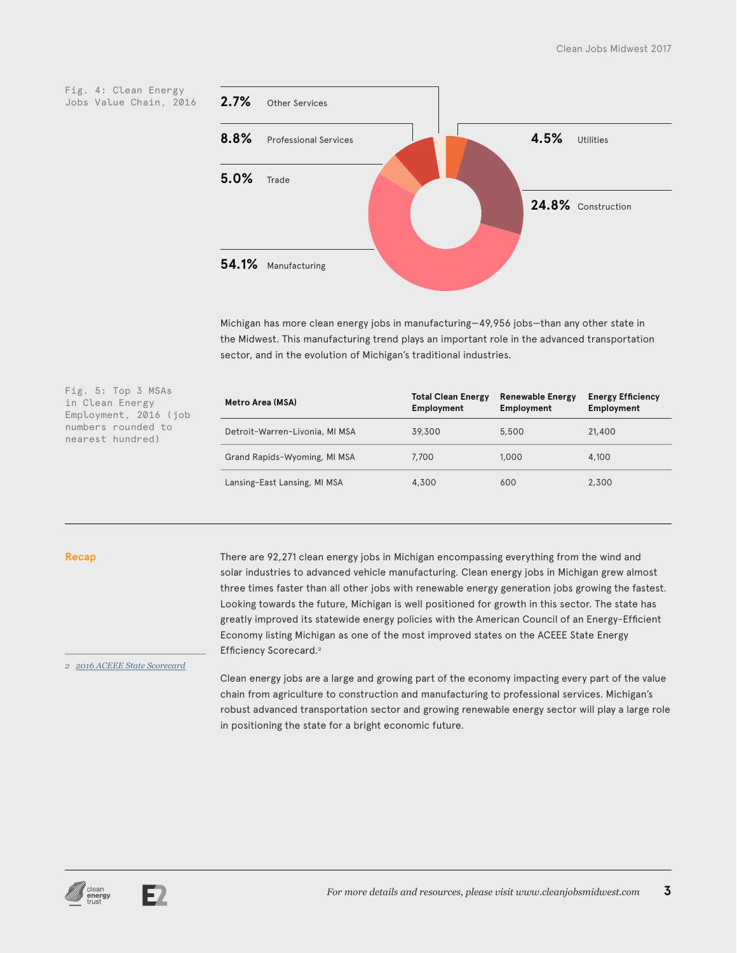

Michigan has more clean energy jobs in manufacturing—49,956 jobs—than any other state in the Midwest. This manufacturing trend plays an important role in the advanced transportation sector, and in the evolution of Michigan's traditional industries.

Fig. 5: Top 3 MSAs in Clean Energy Employment, 2016 (job numbers rounded to nearest hundred)

| Metro Area (MSA)               | <b>Total Clean Energy</b><br>Employment | <b>Renewable Energy</b><br>Employment | <b>Energy Efficiency</b><br>Employment |
|--------------------------------|-----------------------------------------|---------------------------------------|----------------------------------------|
| Detroit-Warren-Livonia, MI MSA | 39,300                                  | 5,500                                 | 21,400                                 |
| Grand Rapids-Wyoming, MI MSA   | 7,700                                   | 1,000                                 | 4,100                                  |
| Lansing-East Lansing, MI MSA   | 4,300                                   | 600                                   | 2,300                                  |

#### **Recap**

There are 92,271 clean energy jobs in Michigan encompassing everything from the wind and solar industries to advanced vehicle manufacturing. Clean energy jobs in Michigan grew almost three times faster than all other jobs with renewable energy generation jobs growing the fastest. Looking towards the future, Michigan is well positioned for growth in this sector. The state has greatly improved its statewide energy policies with the American Council of an Energy-Efficient Economy listing Michigan as one of the most improved states on the ACEEE State Energy Efficiency Scorecard.<sup>2</sup>

*2 [2016 ACEEE State Scorecard](http://database.aceee.org/state-scorecard-rank)*

Clean energy jobs are a large and growing part of the economy impacting every part of the value chain from agriculture to construction and manufacturing to professional services. Michigan's robust advanced transportation sector and growing renewable energy sector will play a large role in positioning the state for a bright economic future.



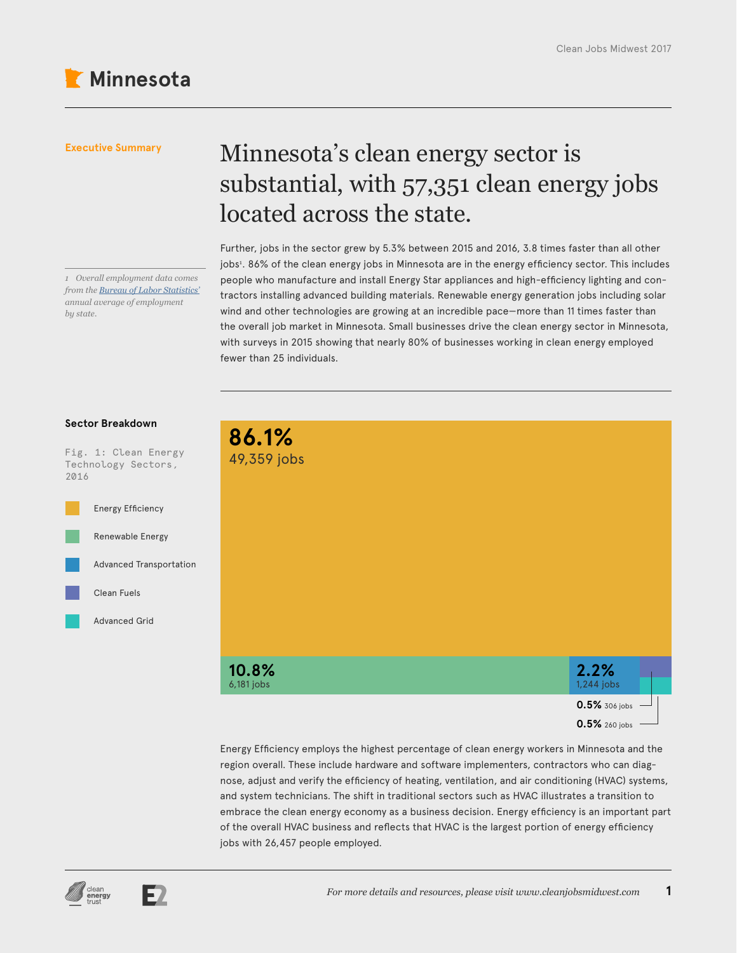*1 Overall employment data comes from the [Bureau of Labor Statistics'](https://www.bls.gov/sae/) annual average of employment* 

### **Executive Summary**

# Minnesota's clean energy sector is substantial, with 57,351 clean energy jobs located across the state.

Further, jobs in the sector grew by 5.3% between 2015 and 2016, 3.8 times faster than all other jobs<sup>1</sup> . 86% of the clean energy jobs in Minnesota are in the energy efficiency sector. This includes people who manufacture and install Energy Star appliances and high-efficiency lighting and contractors installing advanced building materials. Renewable energy generation jobs including solar wind and other technologies are growing at an incredible pace—more than 11 times faster than the overall job market in Minnesota. Small businesses drive the clean energy sector in Minnesota, with surveys in 2015 showing that nearly 80% of businesses working in clean energy employed fewer than 25 individuals.



Energy Efficiency employs the highest percentage of clean energy workers in Minnesota and the region overall. These include hardware and software implementers, contractors who can diagnose, adjust and verify the efficiency of heating, ventilation, and air conditioning (HVAC) systems, and system technicians. The shift in traditional sectors such as HVAC illustrates a transition to embrace the clean energy economy as a business decision. Energy efficiency is an important part of the overall HVAC business and reflects that HVAC is the largest portion of energy efficiency jobs with 26,457 people employed.

### **Sector Breakdown**

*by state.*

Fig. 1: Clean Energy Technology Sectors, 2016



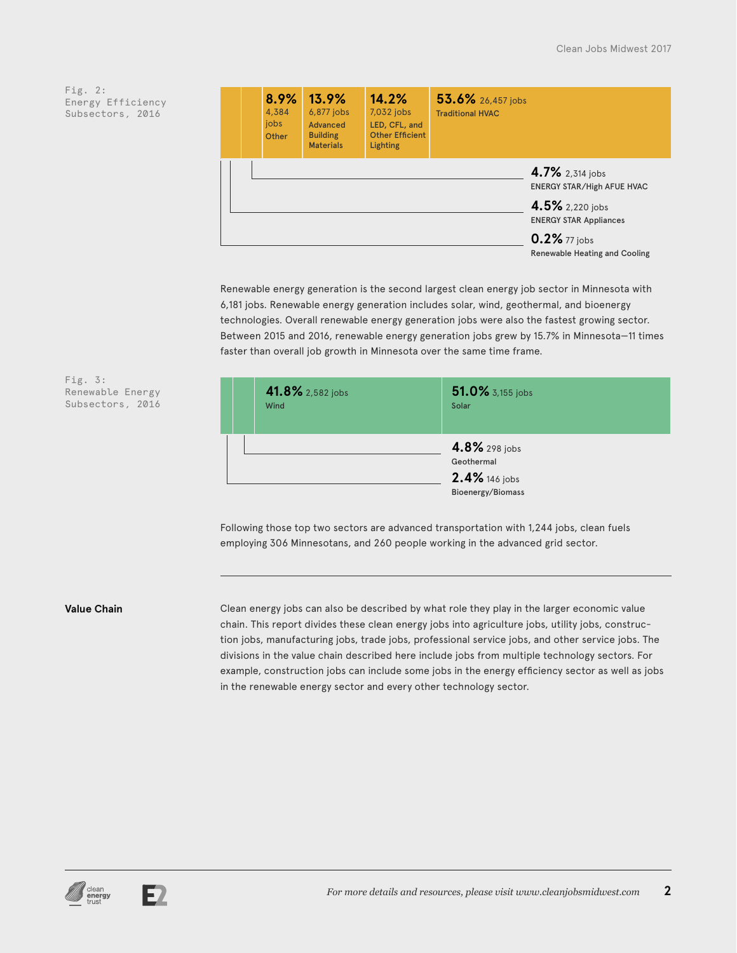|  | 8.9%<br>4,384<br>jobs<br>Other | $13.9\%$<br>6,877 jobs<br>Advanced<br><b>Building</b><br><b>Materials</b> | 14.2%<br>7,032 jobs<br>LED, CFL, and<br><b>Other Efficient</b><br><b>Lighting</b> | 53.6% 26,457 jobs<br><b>Traditional HVAC</b> |                                                                                                          |
|--|--------------------------------|---------------------------------------------------------------------------|-----------------------------------------------------------------------------------|----------------------------------------------|----------------------------------------------------------------------------------------------------------|
|  |                                |                                                                           |                                                                                   |                                              | 4.7% 2,314 jobs<br><b>ENERGY STAR/High AFUE HVAC</b><br>4.5% 2,220 jobs<br><b>ENERGY STAR Appliances</b> |
|  |                                |                                                                           |                                                                                   |                                              | 0.2% 77 jobs<br>Renewable Heating and Cooling                                                            |

Renewable energy generation is the second largest clean energy job sector in Minnesota with 6,181 jobs. Renewable energy generation includes solar, wind, geothermal, and bioenergy technologies. Overall renewable energy generation jobs were also the fastest growing sector. Between 2015 and 2016, renewable energy generation jobs grew by 15.7% in Minnesota—11 times faster than overall job growth in Minnesota over the same time frame.

| 41.8% 2,582 jobs<br><b>Wind</b> | 51.0% 3,155 jobs<br>Solar                    |
|---------------------------------|----------------------------------------------|
|                                 | 4.8% 298 jobs<br>Geothermal<br>2.4% 146 jobs |
|                                 | Bioenergy/Biomass                            |

Following those top two sectors are advanced transportation with 1,244 jobs, clean fuels employing 306 Minnesotans, and 260 people working in the advanced grid sector.

Fig. 3:

Renewable Energy Subsectors, 2016

**Value Chain** Clean energy jobs can also be described by what role they play in the larger economic value chain. This report divides these clean energy jobs into agriculture jobs, utility jobs, construction jobs, manufacturing jobs, trade jobs, professional service jobs, and other service jobs. The divisions in the value chain described here include jobs from multiple technology sectors. For example, construction jobs can include some jobs in the energy efficiency sector as well as jobs in the renewable energy sector and every other technology sector.

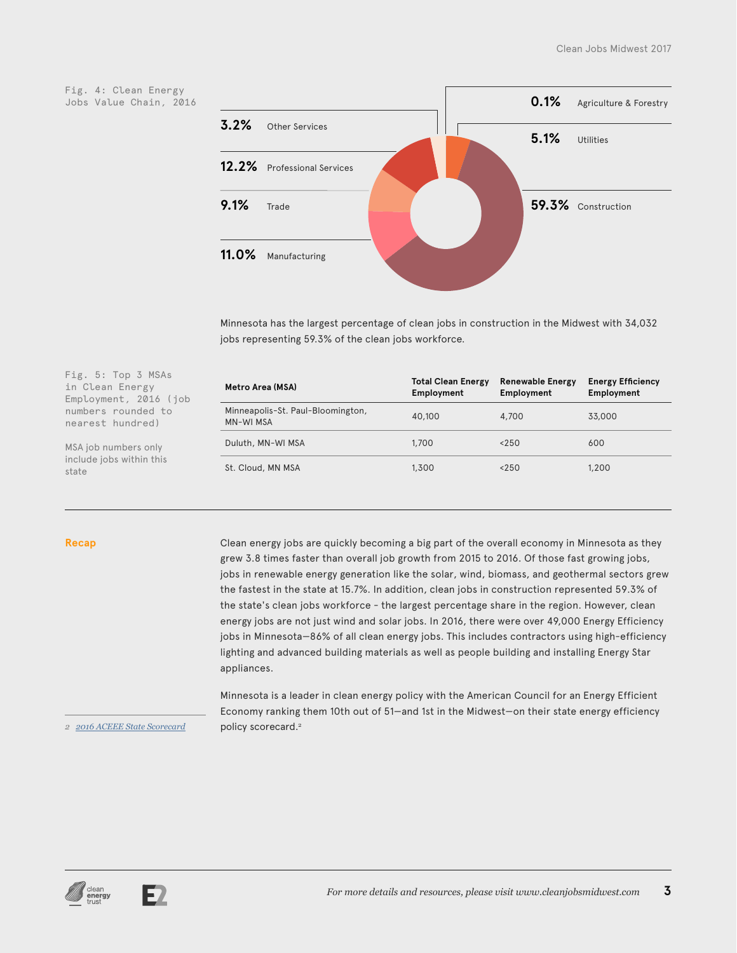Fig. 4: Clean Energy Jobs Value Chain, 2016

Fig. 5: Top 3 MSAs in Clean Energy Employment, 2016 (job numbers rounded to nearest hundred)

MSA job numbers only include jobs within this



Minnesota has the largest percentage of clean jobs in construction in the Midwest with 34,032 jobs representing 59.3% of the clean jobs workforce.

| Metro Area (MSA)                                      | <b>Total Clean Energy</b><br>Employment | <b>Renewable Energy</b><br>Employment | <b>Energy Efficiency</b><br>Employment |
|-------------------------------------------------------|-----------------------------------------|---------------------------------------|----------------------------------------|
| Minneapolis-St. Paul-Bloomington,<br><b>MN-WI MSA</b> | 40,100                                  | 4,700                                 | 33,000                                 |
| Duluth, MN-WI MSA                                     | 1,700                                   | < 250                                 | 600                                    |
| St. Cloud, MN MSA                                     | 1,300                                   | < 250                                 | 1,200                                  |

state

**Recap** Clean energy jobs are quickly becoming a big part of the overall economy in Minnesota as they grew 3.8 times faster than overall job growth from 2015 to 2016. Of those fast growing jobs, jobs in renewable energy generation like the solar, wind, biomass, and geothermal sectors grew the fastest in the state at 15.7%. In addition, clean jobs in construction represented 59.3% of the state's clean jobs workforce - the largest percentage share in the region. However, clean energy jobs are not just wind and solar jobs. In 2016, there were over 49,000 Energy Efficiency jobs in Minnesota—86% of all clean energy jobs. This includes contractors using high-efficiency lighting and advanced building materials as well as people building and installing Energy Star appliances.

> Minnesota is a leader in clean energy policy with the American Council for an Energy Efficient Economy ranking them 10th out of 51—and 1st in the Midwest—on their state energy efficiency policy scorecard.<sup>2</sup>

#### *2 [2016 ACEEE State Scorecard](http://database.aceee.org/state-scorecard-rank)*



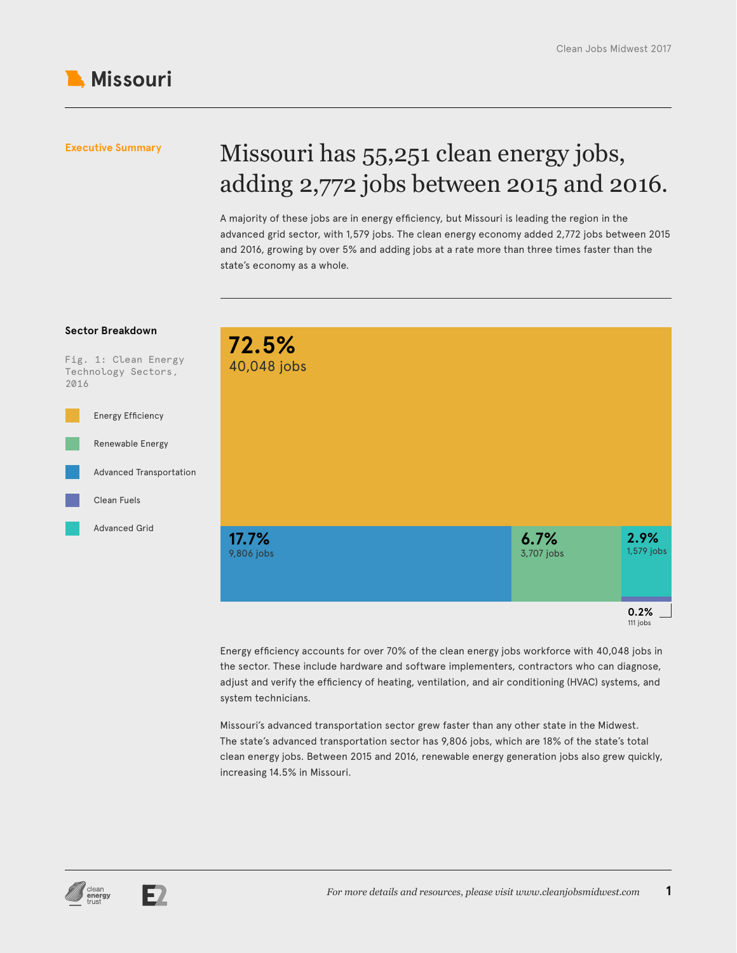

## Missouri has 55,251 clean energy jobs, adding 2,772 jobs between 2015 and 2016.

A majority of these jobs are in energy efficiency, but Missouri is leading the region in the advanced grid sector, with 1,579 jobs. The clean energy economy added 2,772 jobs between 2015 and 2016, growing by over 5% and adding jobs at a rate more than three times faster than the state's economy as a whole.



Energy efficiency accounts for over 70% of the clean energy jobs workforce with 40,048 jobs in the sector. These include hardware and software implementers, contractors who can diagnose, adjust and verify the efficiency of heating, ventilation, and air conditioning (HVAC) systems, and system technicians.

Missouri's advanced transportation sector grew faster than any other state in the Midwest. The state's advanced transportation sector has 9,806 jobs, which are 18% of the state's total clean energy jobs. Between 2015 and 2016, renewable energy generation jobs also grew quickly, increasing 14.5% in Missouri.



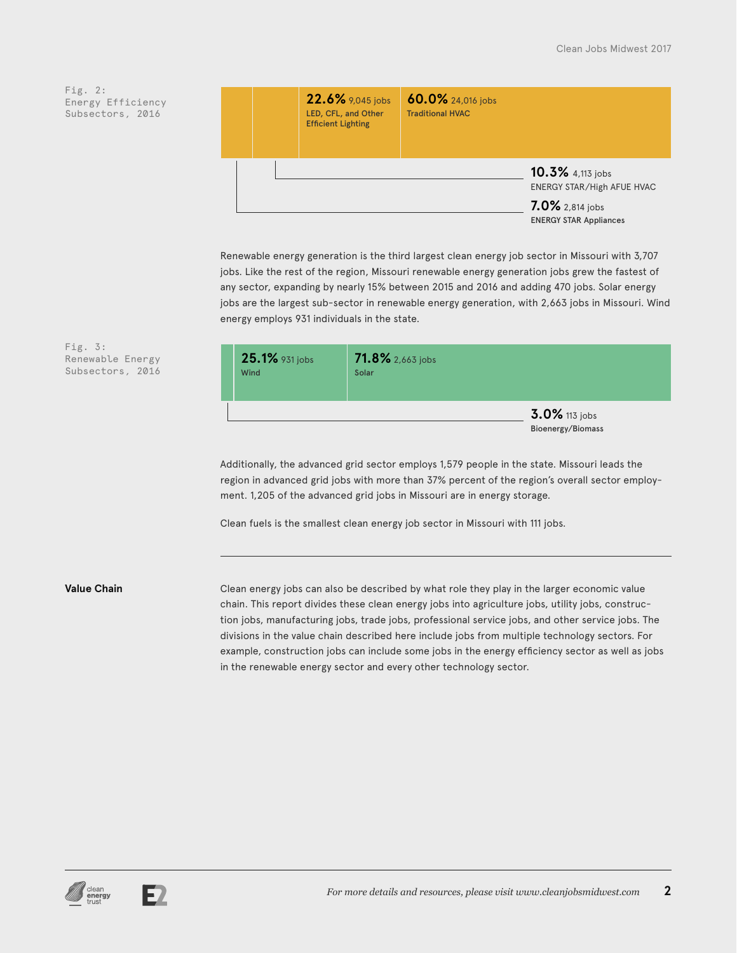|  | 22.6% 9,045 jobs<br>LED, CFL, and Other<br><b>Efficient Lighting</b> | 60.0% 24,016 jobs<br><b>Traditional HVAC</b> |                                                                                                    |
|--|----------------------------------------------------------------------|----------------------------------------------|----------------------------------------------------------------------------------------------------|
|  |                                                                      |                                              | 10.3% 4,113 jobs<br>ENERGY STAR/High AFUE HVAC<br>7.0% 2,814 jobs<br><b>ENERGY STAR Appliances</b> |

Renewable energy generation is the third largest clean energy job sector in Missouri with 3,707 jobs. Like the rest of the region, Missouri renewable energy generation jobs grew the fastest of any sector, expanding by nearly 15% between 2015 and 2016 and adding 470 jobs. Solar energy jobs are the largest sub-sector in renewable energy generation, with 2,663 jobs in Missouri. Wind energy employs 931 individuals in the state.



Additionally, the advanced grid sector employs 1,579 people in the state. Missouri leads the region in advanced grid jobs with more than 37% percent of the region's overall sector employment. 1,205 of the advanced grid jobs in Missouri are in energy storage.

Clean fuels is the smallest clean energy job sector in Missouri with 111 jobs.

Fig. 3:

Renewable Energy Subsectors, 2016

**Value Chain** Clean energy jobs can also be described by what role they play in the larger economic value chain. This report divides these clean energy jobs into agriculture jobs, utility jobs, construction jobs, manufacturing jobs, trade jobs, professional service jobs, and other service jobs. The divisions in the value chain described here include jobs from multiple technology sectors. For example, construction jobs can include some jobs in the energy efficiency sector as well as jobs in the renewable energy sector and every other technology sector.



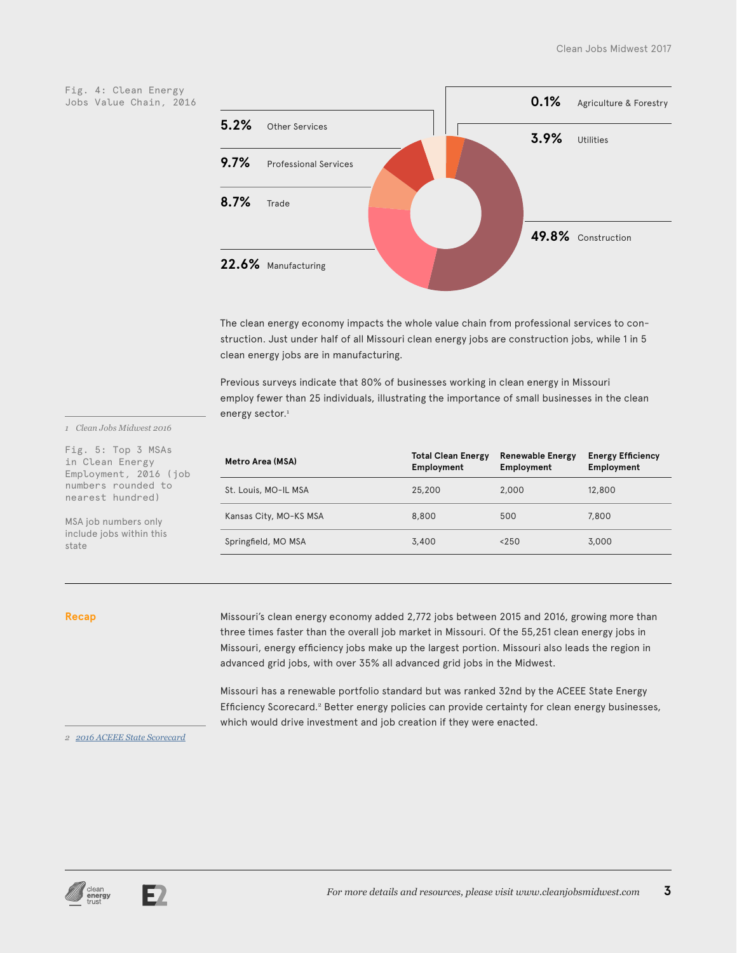Fig. 4: Clean Energy Jobs Value Chain, 2016



The clean energy economy impacts the whole value chain from professional services to construction. Just under half of all Missouri clean energy jobs are construction jobs, while 1 in 5 clean energy jobs are in manufacturing.

Previous surveys indicate that 80% of businesses working in clean energy in Missouri employ fewer than 25 individuals, illustrating the importance of small businesses in the clean energy sector.<sup>1</sup>

| Metro Area (MSA)       | <b>Total Clean Energy</b><br>Employment | <b>Renewable Energy</b><br>Employment | <b>Energy Efficiency</b><br>Employment |
|------------------------|-----------------------------------------|---------------------------------------|----------------------------------------|
| St. Louis, MO-IL MSA   | 25,200                                  | 2,000                                 | 12,800                                 |
| Kansas City, MO-KS MSA | 8,800                                   | 500                                   | 7,800                                  |
| Springfield, MO MSA    | 3,400                                   | < 250                                 | 3,000                                  |

state

Recap Missouri's clean energy economy added 2,772 jobs between 2015 and 2016, growing more than three times faster than the overall job market in Missouri. Of the 55,251 clean energy jobs in Missouri, energy efficiency jobs make up the largest portion. Missouri also leads the region in advanced grid jobs, with over 35% all advanced grid jobs in the Midwest.

> Missouri has a renewable portfolio standard but was ranked 32nd by the ACEEE State Energy Efficiency Scorecard.<sup>2</sup> Better energy policies can provide certainty for clean energy businesses, which would drive investment and job creation if they were enacted.

*2 [2016 ACEEE State Scorecard](http://database.aceee.org/state-scorecard-rank)*

*1 Clean Jobs Midwest 2016* Fig. 5: Top 3 MSAs in Clean Energy Employment, 2016 (job numbers rounded to nearest hundred) MSA job numbers only include jobs within this



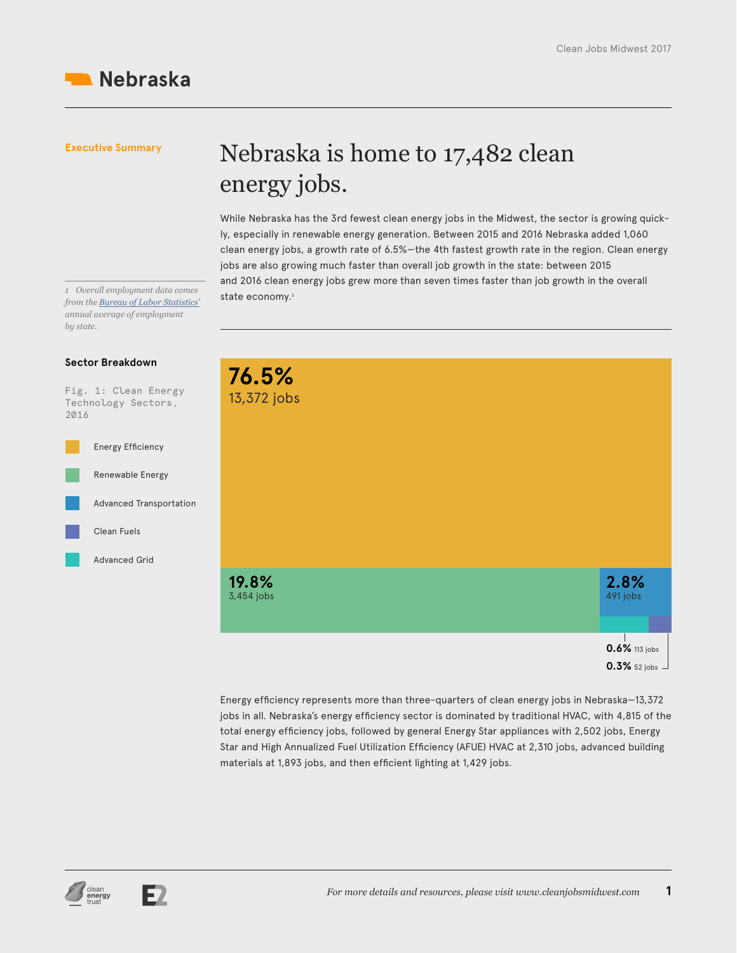## Nebraska is home to 17,482 clean energy jobs.

While Nebraska has the 3rd fewest clean energy jobs in the Midwest, the sector is growing quickly, especially in renewable energy generation. Between 2015 and 2016 Nebraska added 1,060 clean energy jobs, a growth rate of 6.5%—the 4th fastest growth rate in the region. Clean energy jobs are also growing much faster than overall job growth in the state: between 2015 and 2016 clean energy jobs grew more than seven times faster than job growth in the overall

1 *Overall employment data comes*<br>from the *Pursay of Labor Statistics'* state economy.<sup>1</sup> *from the [Bureau of Labor Statistics'](https://www.bls.gov/sae/) annual average of employment by state.*

#### **Sector Breakdown**



| 76.5%<br>13,372 jobs |               |
|----------------------|---------------|
|                      |               |
|                      |               |
|                      |               |
|                      |               |
|                      |               |
|                      |               |
| 19.8%                | 2.8%          |
| 3,454 jobs           | 491 jobs      |
|                      |               |
|                      |               |
|                      | 0.6% 113 jobs |

Energy efficiency represents more than three-quarters of clean energy jobs in Nebraska—13,372 jobs in all. Nebraska's energy efficiency sector is dominated by traditional HVAC, with 4,815 of the total energy efficiency jobs, followed by general Energy Star appliances with 2,502 jobs, Energy Star and High Annualized Fuel Utilization Efficiency (AFUE) HVAC at 2,310 jobs, advanced building materials at 1,893 jobs, and then efficient lighting at 1,429 jobs.



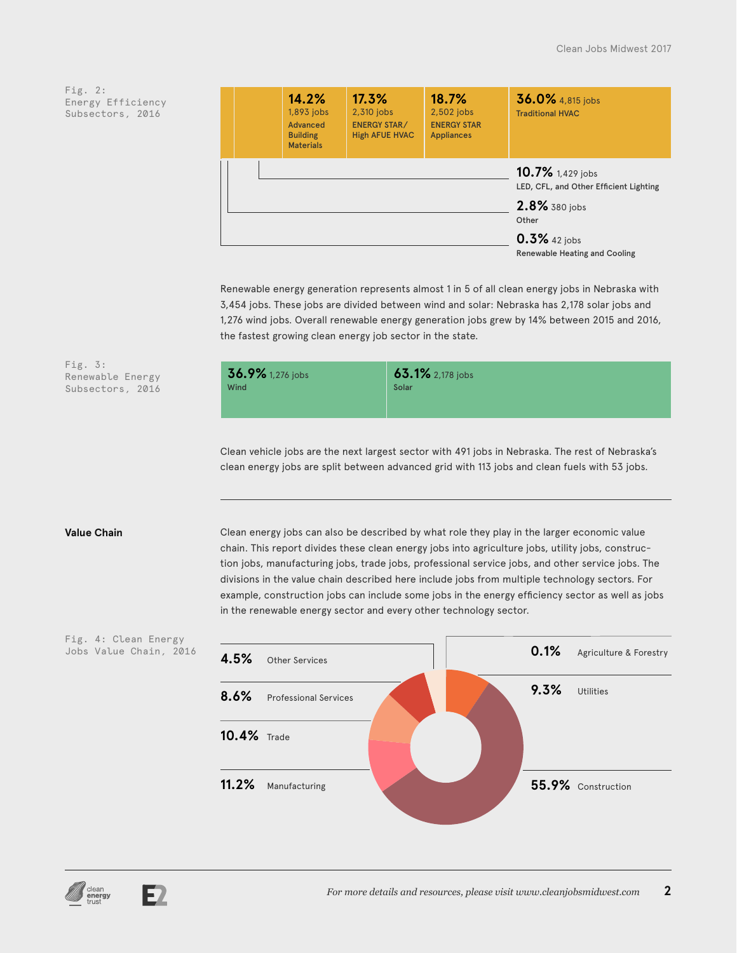|  | 14.2%<br>1,893 jobs<br>Advanced<br><b>Building</b><br><b>Materials</b> | 17.3%<br>2,310 jobs<br><b>ENERGY STAR/</b><br><b>High AFUE HVAC</b> | 18.7%<br>2,502 jobs<br><b>ENERGY STAR</b><br><b>Appliances</b> | 36.0% 4,815 jobs<br><b>Traditional HVAC</b>                                                                                              |
|--|------------------------------------------------------------------------|---------------------------------------------------------------------|----------------------------------------------------------------|------------------------------------------------------------------------------------------------------------------------------------------|
|  |                                                                        |                                                                     |                                                                | 10.7% 1,429 jobs<br>LED, CFL, and Other Efficient Lighting<br>2.8% 380 jobs<br>Other<br>$0.3\%$ 42 jobs<br>Renewable Heating and Cooling |

Renewable energy generation represents almost 1 in 5 of all clean energy jobs in Nebraska with 3,454 jobs. These jobs are divided between wind and solar: Nebraska has 2,178 solar jobs and 1,276 wind jobs. Overall renewable energy generation jobs grew by 14% between 2015 and 2016, the fastest growing clean energy job sector in the state.

| 36.9% 1,276 jobs<br>Wind | 63.1% 2,178 jobs<br>Solar |
|--------------------------|---------------------------|
|                          |                           |

Clean vehicle jobs are the next largest sector with 491 jobs in Nebraska. The rest of Nebraska's clean energy jobs are split between advanced grid with 113 jobs and clean fuels with 53 jobs.

Fig. 3:

Renewable Energy Subsectors, 2016

**Value Chain** Clean energy jobs can also be described by what role they play in the larger economic value chain. This report divides these clean energy jobs into agriculture jobs, utility jobs, construction jobs, manufacturing jobs, trade jobs, professional service jobs, and other service jobs. The divisions in the value chain described here include jobs from multiple technology sectors. For example, construction jobs can include some jobs in the energy efficiency sector as well as jobs in the renewable energy sector and every other technology sector.



Fig. 4: Clean Energy Jobs Value Chain, 2016

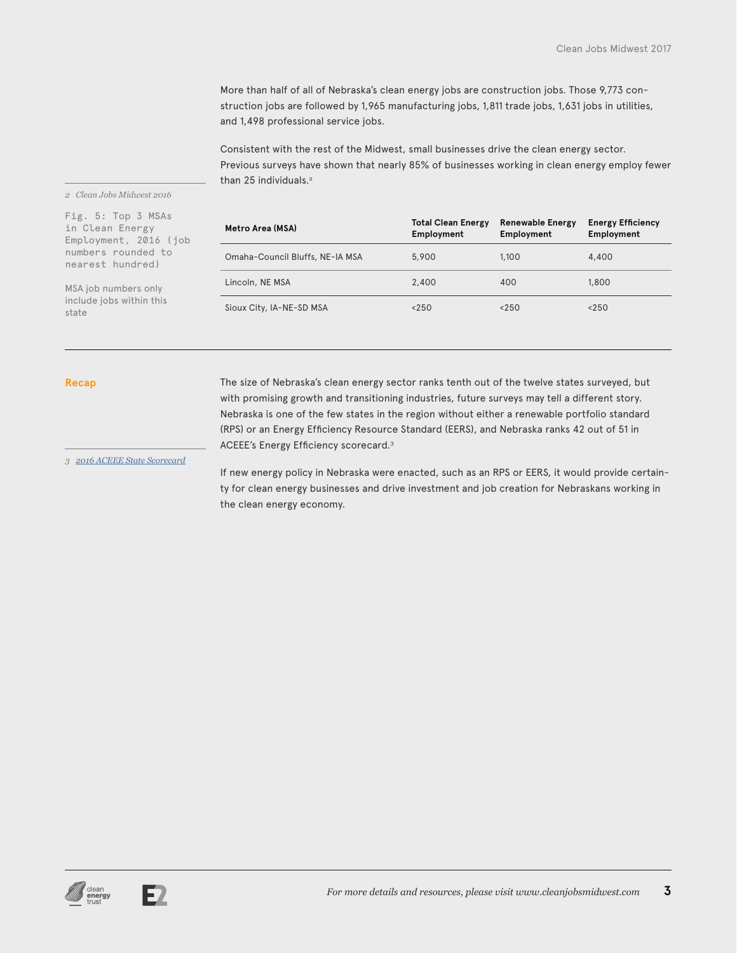More than half of all of Nebraska's clean energy jobs are construction jobs. Those 9,773 construction jobs are followed by 1,965 manufacturing jobs, 1,811 trade jobs, 1,631 jobs in utilities, and 1,498 professional service jobs.

Consistent with the rest of the Midwest, small businesses drive the clean energy sector. Previous surveys have shown that nearly 85% of businesses working in clean energy employ fewer than 25 individuals.<sup>2</sup>

#### *2 Clean Jobs Midwest 2016*

Fig. 5: Top 3 MSAs in Clean Energy Employment, 2016 (job numbers rounded to nearest hundred)

MSA job numbers only include jobs within this state

| Metro Area (MSA)                | <b>Total Clean Energy</b><br>Employment | <b>Renewable Energy</b><br>Employment | <b>Energy Efficiency</b><br>Employment |
|---------------------------------|-----------------------------------------|---------------------------------------|----------------------------------------|
| Omaha-Council Bluffs, NE-IA MSA | 5,900                                   | 1.100                                 | 4,400                                  |
| Lincoln, NE MSA                 | 2,400                                   | 400                                   | 1,800                                  |
| Sioux City, IA-NE-SD MSA        | < 250                                   | < 250                                 | < 250                                  |

Recap The size of Nebraska's clean energy sector ranks tenth out of the twelve states surveyed, but with promising growth and transitioning industries, future surveys may tell a different story. Nebraska is one of the few states in the region without either a renewable portfolio standard (RPS) or an Energy Efficiency Resource Standard (EERS), and Nebraska ranks 42 out of 51 in ACEEE's Energy Efficiency scorecard.<sup>3</sup>

*3 [2016 ACEEE State Scorecard](http://database.aceee.org/state-scorecard-rank)*

If new energy policy in Nebraska were enacted, such as an RPS or EERS, it would provide certainty for clean energy businesses and drive investment and job creation for Nebraskans working in the clean energy economy.



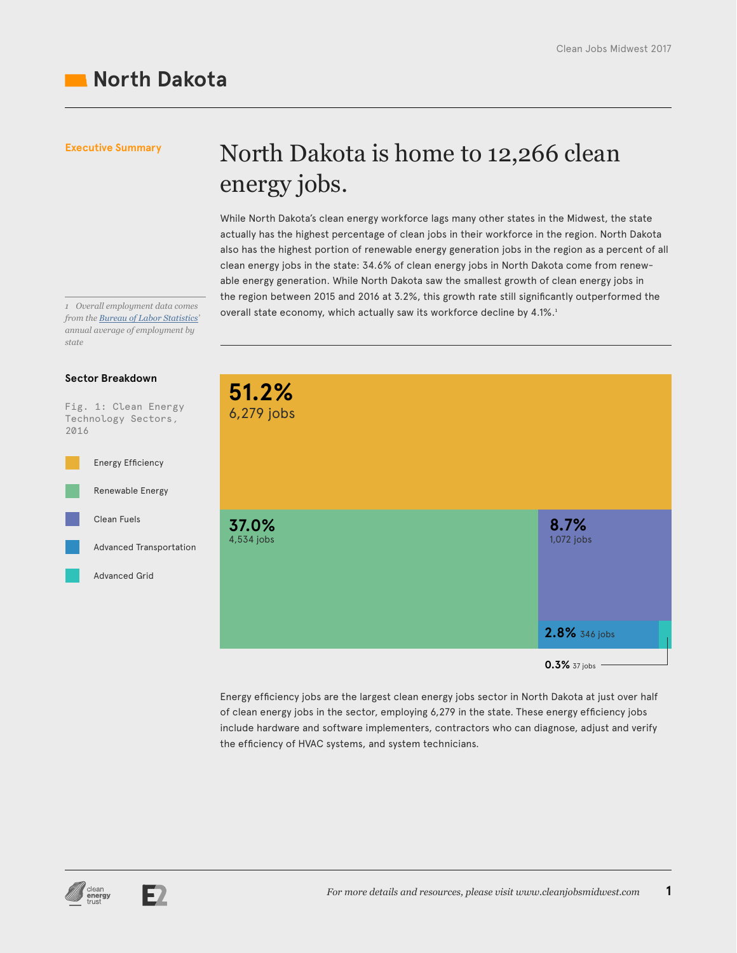## **North Dakota**

#### **Executive Summary**

## North Dakota is home to 12,266 clean energy jobs.

While North Dakota's clean energy workforce lags many other states in the Midwest, the state actually has the highest percentage of clean jobs in their workforce in the region. North Dakota also has the highest portion of renewable energy generation jobs in the region as a percent of all clean energy jobs in the state: 34.6% of clean energy jobs in North Dakota come from renewable energy generation. While North Dakota saw the smallest growth of clean energy jobs in the region between 2015 and 2016 at 3.2%, this growth rate still significantly outperformed the overall state economy, which actually saw its workforce decline by 4.1%.<sup>1</sup> *<sup>1</sup> Overall employment data comes* 

*from the Bureau of Labor Statistics' annual average of employment by state*

#### **Sector Breakdown**

Fig. 1: Clean Energy Technology Sectors, 2016



| 51.2%<br>6,279 jobs |                                     |
|---------------------|-------------------------------------|
| 37.0%<br>4,534 jobs | 8.7%<br>1,072 jobs<br>2.8% 346 jobs |
|                     | 0.3% 37 jobs                        |

Energy efficiency jobs are the largest clean energy jobs sector in North Dakota at just over half of clean energy jobs in the sector, employing 6,279 in the state. These energy efficiency jobs include hardware and software implementers, contractors who can diagnose, adjust and verify the efficiency of HVAC systems, and system technicians.



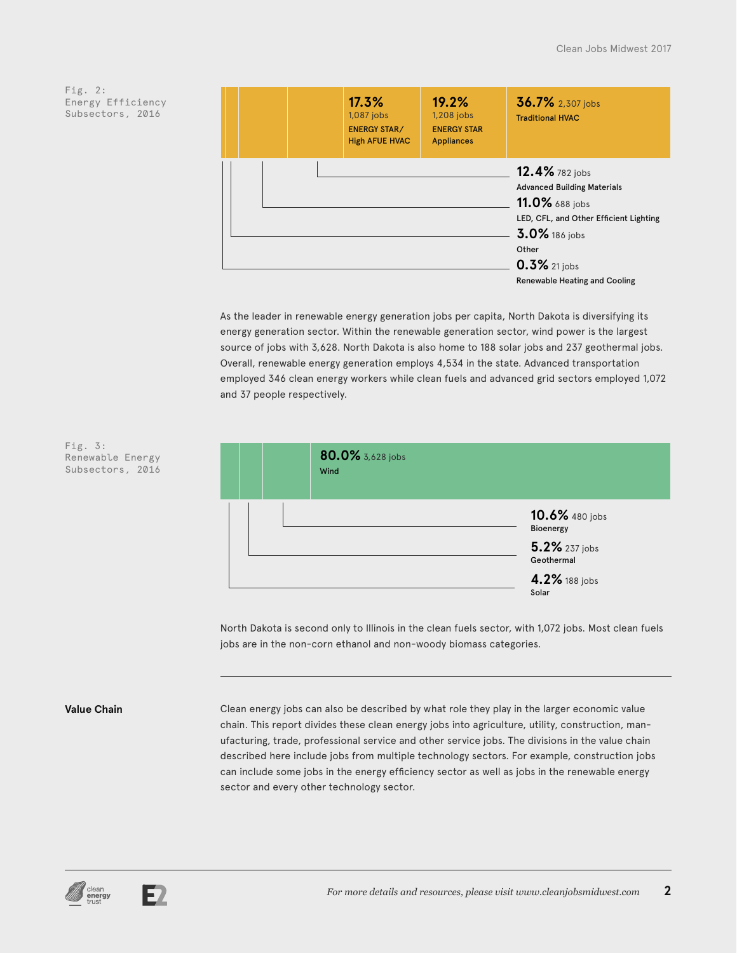| 17.3%<br>1,087 jobs<br><b>ENERGY STAR/</b><br><b>High AFUE HVAC</b> | 19.2%<br>1,208 jobs<br><b>ENERGY STAR</b><br><b>Appliances</b> | 36.7% 2,307 jobs<br><b>Traditional HVAC</b>                                                                                                                                                           |
|---------------------------------------------------------------------|----------------------------------------------------------------|-------------------------------------------------------------------------------------------------------------------------------------------------------------------------------------------------------|
|                                                                     |                                                                | 12.4% 782 jobs<br><b>Advanced Building Materials</b><br>11.0% 688 jobs<br>LED, CFL, and Other Efficient Lighting<br>3.0% 186 jobs<br>Other<br>$0.3\%$ 21 jobs<br><b>Renewable Heating and Cooling</b> |

As the leader in renewable energy generation jobs per capita, North Dakota is diversifying its energy generation sector. Within the renewable generation sector, wind power is the largest source of jobs with 3,628. North Dakota is also home to 188 solar jobs and 237 geothermal jobs. Overall, renewable energy generation employs 4,534 in the state. Advanced transportation employed 346 clean energy workers while clean fuels and advanced grid sectors employed 1,072 and 37 people respectively.



North Dakota is second only to Illinois in the clean fuels sector, with 1,072 jobs. Most clean fuels jobs are in the non-corn ethanol and non-woody biomass categories.

Fig. 3:

Renewable Energy Subsectors, 2016

**Value Chain** Clean energy jobs can also be described by what role they play in the larger economic value chain. This report divides these clean energy jobs into agriculture, utility, construction, manufacturing, trade, professional service and other service jobs. The divisions in the value chain described here include jobs from multiple technology sectors. For example, construction jobs can include some jobs in the energy efficiency sector as well as jobs in the renewable energy sector and every other technology sector.



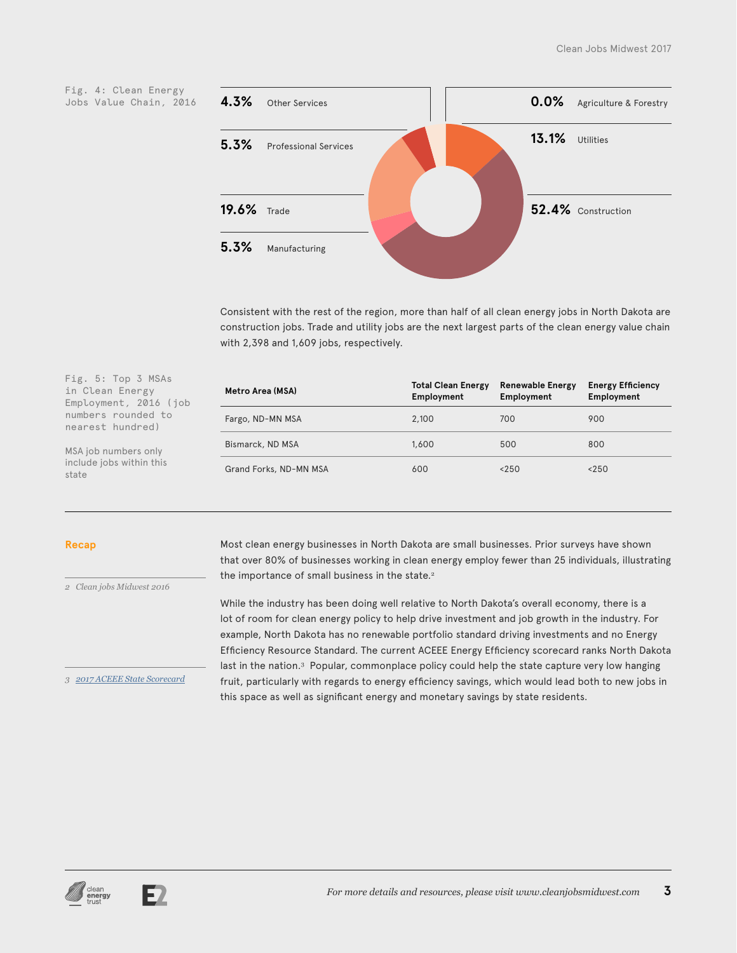



Consistent with the rest of the region, more than half of all clean energy jobs in North Dakota are construction jobs. Trade and utility jobs are the next largest parts of the clean energy value chain with 2,398 and 1,609 jobs, respectively.

| Metro Area (MSA)       | <b>Total Clean Energy</b><br>Employment | <b>Renewable Energy</b><br>Employment | <b>Energy Efficiency</b><br>Employment |
|------------------------|-----------------------------------------|---------------------------------------|----------------------------------------|
| Fargo, ND-MN MSA       | 2.100                                   | 700                                   | 900                                    |
| Bismarck, ND MSA       | 1,600                                   | 500                                   | 800                                    |
| Grand Forks, ND-MN MSA | 600                                     | < 250                                 | < 250                                  |

#### **Recap**

state

*2 Clean jobs Midwest 2016*

Fig. 5: Top 3 MSAs in Clean Energy Employment, 2016 (job numbers rounded to nearest hundred) MSA job numbers only include jobs within this

*3 [2017 ACEEE State Scorecard](http://database.aceee.org/state-scorecard-rank)*

Most clean energy businesses in North Dakota are small businesses. Prior surveys have shown that over 80% of businesses working in clean energy employ fewer than 25 individuals, illustrating the importance of small business in the state.<sup>2</sup>

While the industry has been doing well relative to North Dakota's overall economy, there is a lot of room for clean energy policy to help drive investment and job growth in the industry. For example, North Dakota has no renewable portfolio standard driving investments and no Energy Efficiency Resource Standard. The current ACEEE Energy Efficiency scorecard ranks North Dakota last in the nation.<sup>3</sup> Popular, commonplace policy could help the state capture very low hanging fruit, particularly with regards to energy efficiency savings, which would lead both to new jobs in this space as well as significant energy and monetary savings by state residents.



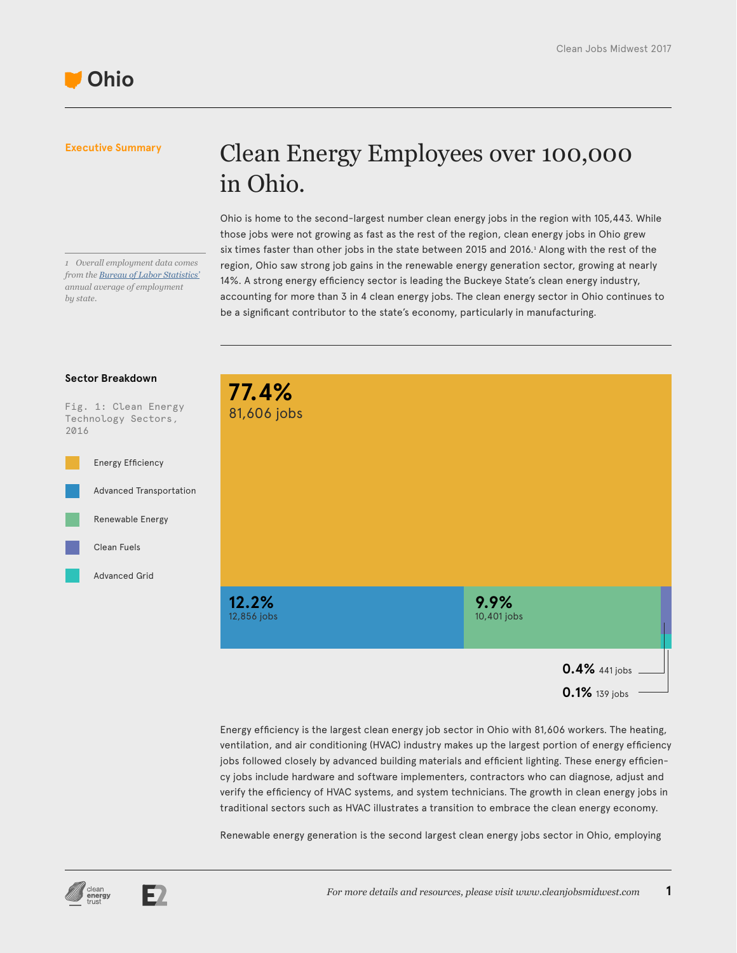# in Ohio. Ohio is home to the second-largest number clean energy jobs in the region with 105,443. While

*1 Overall employment data comes from the [Bureau of Labor Statistics'](https://www.bls.gov/sae/) annual average of employment by state.*

those jobs were not growing as fast as the rest of the region, clean energy jobs in Ohio grew six times faster than other jobs in the state between 2015 and 2016.<sup>1</sup> Along with the rest of the region, Ohio saw strong job gains in the renewable energy generation sector, growing at nearly 14%. A strong energy efficiency sector is leading the Buckeye State's clean energy industry, accounting for more than 3 in 4 clean energy jobs. The clean energy sector in Ohio continues to be a significant contributor to the state's economy, particularly in manufacturing.

Clean Energy Employees over 100,000

#### **Sector Breakdown**

Fig. 1: Clean Energy Technology Sectors, 2016





**0.1%** 139 jobs

Energy efficiency is the largest clean energy job sector in Ohio with 81,606 workers. The heating, ventilation, and air conditioning (HVAC) industry makes up the largest portion of energy efficiency jobs followed closely by advanced building materials and efficient lighting. These energy efficiency jobs include hardware and software implementers, contractors who can diagnose, adjust and verify the efficiency of HVAC systems, and system technicians. The growth in clean energy jobs in traditional sectors such as HVAC illustrates a transition to embrace the clean energy economy.

Renewable energy generation is the second largest clean energy jobs sector in Ohio, employing



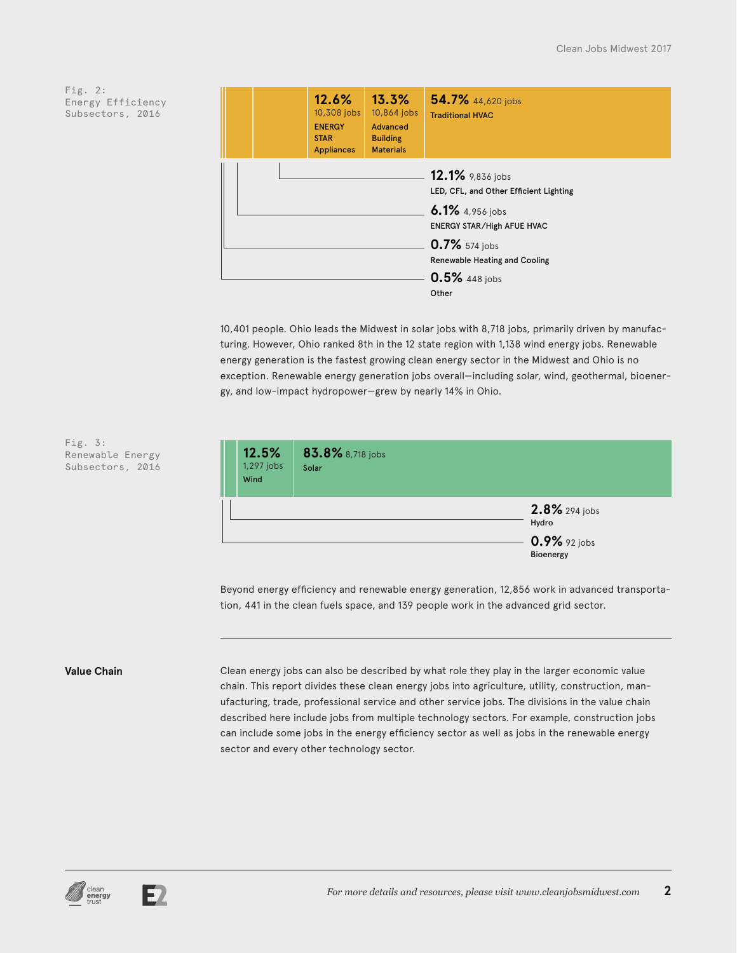|  | 12.6%<br>10,308 jobs<br><b>ENERGY</b><br><b>STAR</b><br><b>Appliances</b> | 13.3%<br>10,864 jobs<br>Advanced<br><b>Building</b><br><b>Materials</b> | 54.7% 44,620 jobs<br><b>Traditional HVAC</b>                                                                       |
|--|---------------------------------------------------------------------------|-------------------------------------------------------------------------|--------------------------------------------------------------------------------------------------------------------|
|  |                                                                           |                                                                         | 12.1% 9,836 jobs<br>LED, CFL, and Other Efficient Lighting<br>6.1% 4,956 jobs<br><b>ENERGY STAR/High AFUE HVAC</b> |
|  |                                                                           |                                                                         | 0.7% 574 jobs<br><b>Renewable Heating and Cooling</b><br>0.5% 448 jobs<br>Other                                    |

10,401 people. Ohio leads the Midwest in solar jobs with 8,718 jobs, primarily driven by manufacturing. However, Ohio ranked 8th in the 12 state region with 1,138 wind energy jobs. Renewable energy generation is the fastest growing clean energy sector in the Midwest and Ohio is no exception. Renewable energy generation jobs overall—including solar, wind, geothermal, bioenergy, and low-impact hydropower—grew by nearly 14% in Ohio.



Beyond energy efficiency and renewable energy generation, 12,856 work in advanced transportation, 441 in the clean fuels space, and 139 people work in the advanced grid sector.

Fig. 3:

Renewable Energy Subsectors, 2016

**Value Chain** Clean energy jobs can also be described by what role they play in the larger economic value chain. This report divides these clean energy jobs into agriculture, utility, construction, manufacturing, trade, professional service and other service jobs. The divisions in the value chain described here include jobs from multiple technology sectors. For example, construction jobs can include some jobs in the energy efficiency sector as well as jobs in the renewable energy sector and every other technology sector.



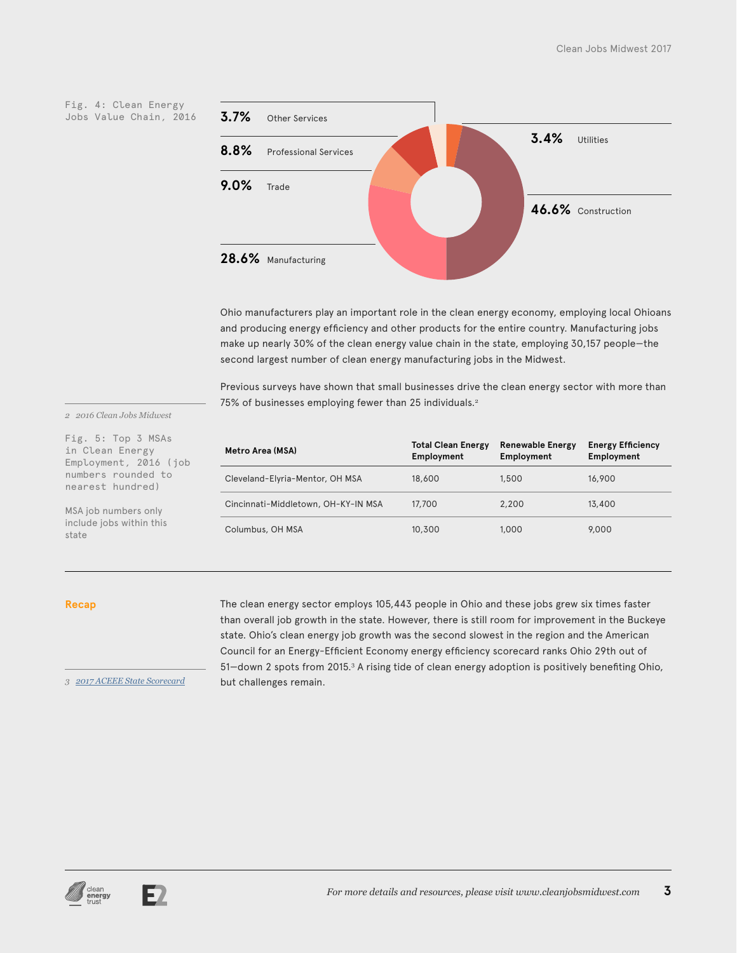Fig. 4: Clean Energy Jobs Value Chain, 2016



Ohio manufacturers play an important role in the clean energy economy, employing local Ohioans and producing energy efficiency and other products for the entire country. Manufacturing jobs make up nearly 30% of the clean energy value chain in the state, employing 30,157 people—the second largest number of clean energy manufacturing jobs in the Midwest.

Previous surveys have shown that small businesses drive the clean energy sector with more than 75% of businesses employing fewer than 25 individuals.<sup>2</sup>

*2 2016 Clean Jobs Midwest*

Fig. 5: Top 3 MSAs in Clean Energy Employment, 2016 (job numbers rounded to nearest hundred)

MSA job numbers only include jobs within this state

| Metro Area (MSA)                    | <b>Total Clean Energy</b><br>Employment | <b>Renewable Energy</b><br>Employment | <b>Energy Efficiency</b><br>Employment |
|-------------------------------------|-----------------------------------------|---------------------------------------|----------------------------------------|
| Cleveland-Elyria-Mentor, OH MSA     | 18,600                                  | 1,500                                 | 16,900                                 |
| Cincinnati-Middletown, OH-KY-IN MSA | 17,700                                  | 2,200                                 | 13,400                                 |
| Columbus, OH MSA                    | 10,300                                  | 1,000                                 | 9,000                                  |

#### **Recap**

The clean energy sector employs 105,443 people in Ohio and these jobs grew six times faster than overall job growth in the state. However, there is still room for improvement in the Buckeye state. Ohio's clean energy job growth was the second slowest in the region and the American Council for an Energy-Efficient Economy energy efficiency scorecard ranks Ohio 29th out of 51—down 2 spots from 2015.<sup>3</sup> A rising tide of clean energy adoption is positively benefiting Ohio, but challenges remain.

*3 2017 ACEEE State Scorecard*



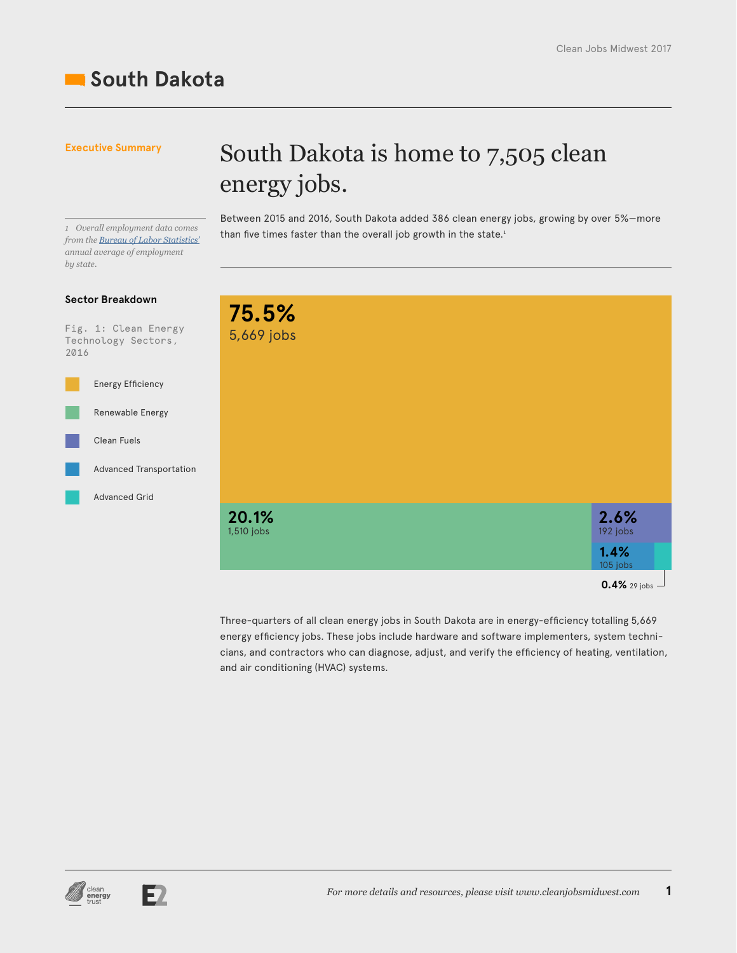## **South Dakota**

### **Executive Summary**

## South Dakota is home to 7,505 clean energy jobs.

*from the [Bureau of Labor Statistics'](https://www.bls.gov/sae/) annual average of employment by state.*

### **Sector Breakdown**

Fig. 1: Clean Energy Technology Sectors, 2016



Between 2015 and 2016, South Dakota added 386 clean energy jobs, growing by over 5%—more than five times faster than the overall job growth in the state.1 *<sup>1</sup> Overall employment data comes* 



Three-quarters of all clean energy jobs in South Dakota are in energy-efficiency totalling 5,669 energy efficiency jobs. These jobs include hardware and software implementers, system technicians, and contractors who can diagnose, adjust, and verify the efficiency of heating, ventilation, and air conditioning (HVAC) systems.



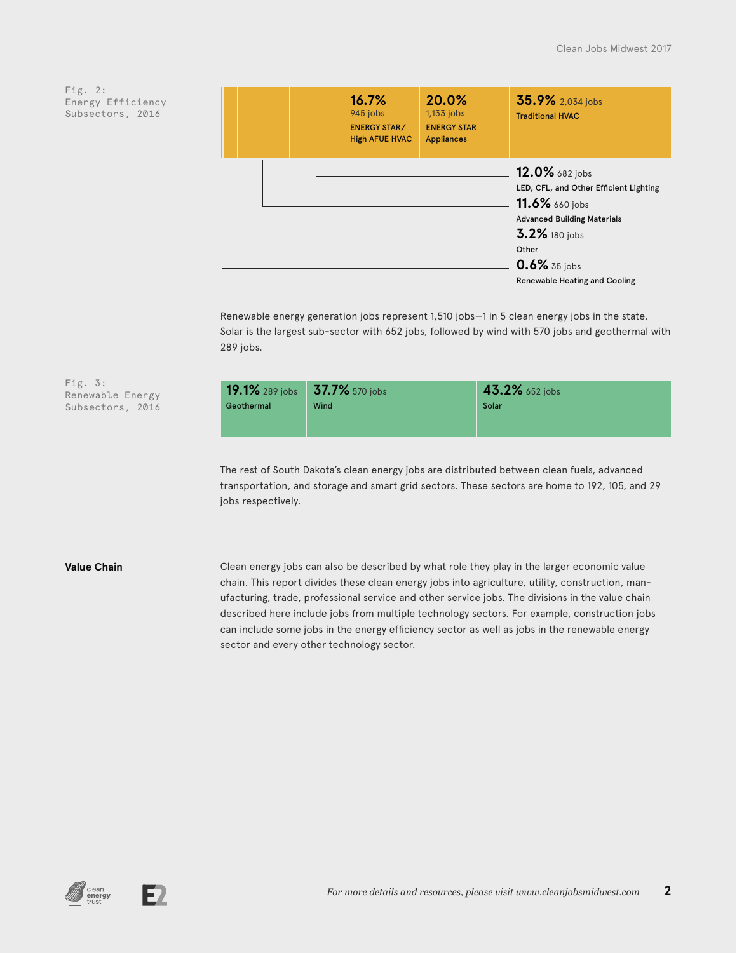| 16.7%<br>945 jobs<br><b>ENERGY STAR/</b><br><b>High AFUE HVAC</b> | 20.0%<br>1,133 jobs<br><b>ENERGY STAR</b><br><b>Appliances</b> | 35.9% 2,034 jobs<br><b>Traditional HVAC</b>                                                                                                                                                        |
|-------------------------------------------------------------------|----------------------------------------------------------------|----------------------------------------------------------------------------------------------------------------------------------------------------------------------------------------------------|
|                                                                   |                                                                | 12.0% 682 jobs<br>LED, CFL, and Other Efficient Lighting<br>11.6% 660 jobs<br><b>Advanced Building Materials</b><br>3.2% 180 jobs<br>Other<br>0.6% 35 jobs<br><b>Renewable Heating and Cooling</b> |

Renewable energy generation jobs represent 1,510 jobs—1 in 5 clean energy jobs in the state. Solar is the largest sub-sector with 652 jobs, followed by wind with 570 jobs and geothermal with 289 jobs.

| 19.1% 289 jobs 37.7% 570 jobs |      | 43.2% 652 jobs |
|-------------------------------|------|----------------|
| Geothermal                    | Wind | Solar          |
|                               |      |                |

The rest of South Dakota's clean energy jobs are distributed between clean fuels, advanced transportation, and storage and smart grid sectors. These sectors are home to 192, 105, and 29 jobs respectively.

Fig. 3:

Renewable Energy Subsectors, 2016

**Value Chain** Clean energy jobs can also be described by what role they play in the larger economic value chain. This report divides these clean energy jobs into agriculture, utility, construction, manufacturing, trade, professional service and other service jobs. The divisions in the value chain described here include jobs from multiple technology sectors. For example, construction jobs can include some jobs in the energy efficiency sector as well as jobs in the renewable energy sector and every other technology sector.



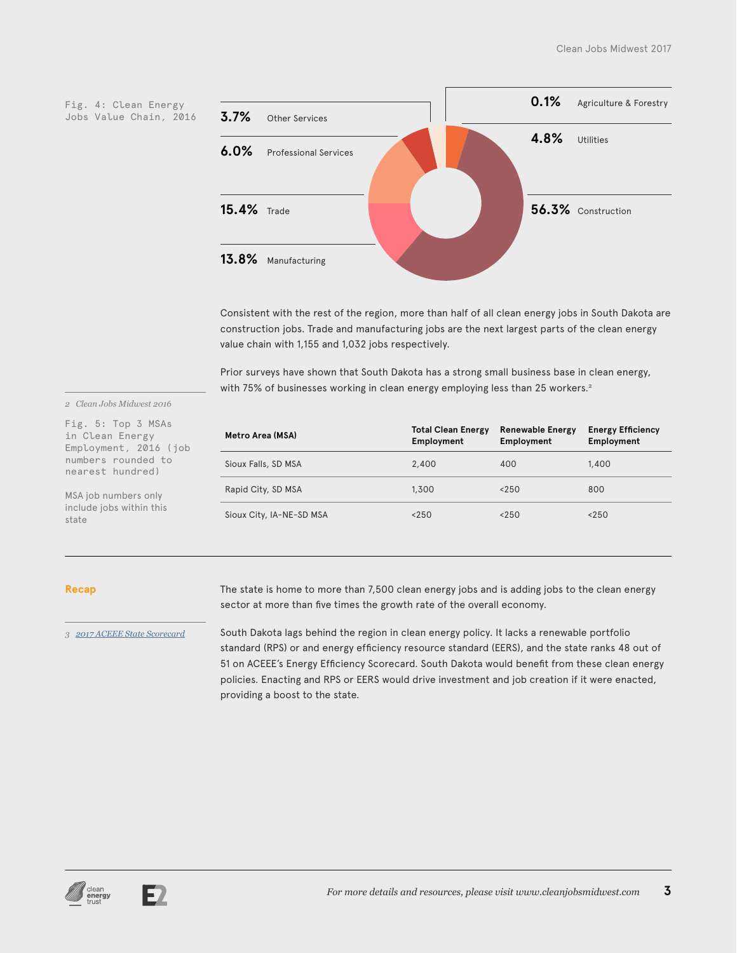Jobs Value Chain, 2016



Consistent with the rest of the region, more than half of all clean energy jobs in South Dakota are construction jobs. Trade and manufacturing jobs are the next largest parts of the clean energy value chain with 1,155 and 1,032 jobs respectively.

Prior surveys have shown that South Dakota has a strong small business base in clean energy, with 75% of businesses working in clean energy employing less than 25 workers.<sup>2</sup>

#### *2 Clean Jobs Midwest 2016*

Fig. 5: Top 3 MSAs in Clean Energy Employment, 2016 (job numbers rounded to nearest hundred)

MSA job numbers only include jobs within this state

| Metro Area (MSA)         | <b>Total Clean Energy</b><br>Employment | <b>Renewable Energy</b><br>Employment | <b>Energy Efficiency</b><br>Employment |
|--------------------------|-----------------------------------------|---------------------------------------|----------------------------------------|
| Sioux Falls, SD MSA      | 2,400                                   | 400                                   | 1,400                                  |
| Rapid City, SD MSA       | 1,300                                   | < 250                                 | 800                                    |
| Sioux City, IA-NE-SD MSA | < 250                                   | < 250                                 | < 250                                  |

#### **Recap**

*3 [2017 ACEEE State Scorecard](http://database.aceee.org/state-scorecard-rank)*

The state is home to more than 7,500 clean energy jobs and is adding jobs to the clean energy sector at more than five times the growth rate of the overall economy.

South Dakota lags behind the region in clean energy policy. It lacks a renewable portfolio standard (RPS) or and energy efficiency resource standard (EERS), and the state ranks 48 out of 51 on ACEEE's Energy Efficiency Scorecard. South Dakota would benefit from these clean energy policies. Enacting and RPS or EERS would drive investment and job creation if it were enacted, providing a boost to the state.



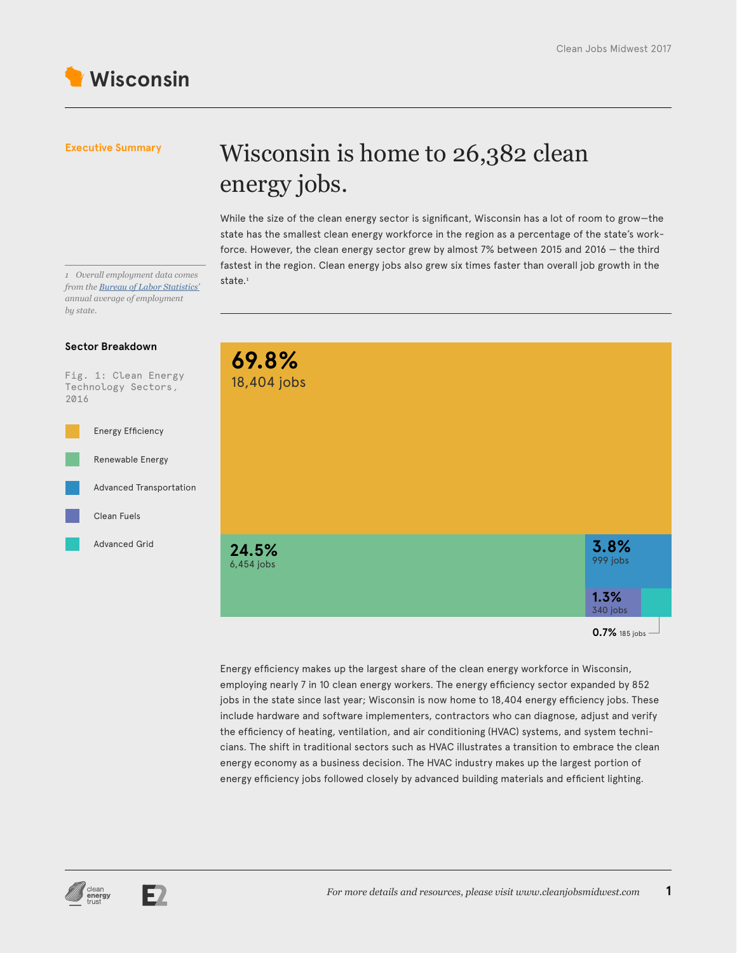

## Wisconsin is home to 26,382 clean energy jobs.

While the size of the clean energy sector is significant, Wisconsin has a lot of room to grow—the state has the smallest clean energy workforce in the region as a percentage of the state's workforce. However, the clean energy sector grew by almost 7% between 2015 and 2016 — the third fastest in the region. Clean energy jobs also grew six times faster than overall job growth in the

**0.7%** 185 jobs **69.8%** 18,404 jobs **24.5%** 6,454 jobs **3.8%** 999 jobs **1.3%** 340 jobs

> Energy efficiency makes up the largest share of the clean energy workforce in Wisconsin, employing nearly 7 in 10 clean energy workers. The energy efficiency sector expanded by 852 jobs in the state since last year; Wisconsin is now home to 18,404 energy efficiency jobs. These include hardware and software implementers, contractors who can diagnose, adjust and verify the efficiency of heating, ventilation, and air conditioning (HVAC) systems, and system technicians. The shift in traditional sectors such as HVAC illustrates a transition to embrace the clean energy economy as a business decision. The HVAC industry makes up the largest portion of energy efficiency jobs followed closely by advanced building materials and efficient lighting.



#### **Sector Breakdown**

Fig. 1: Clean Energy Technology Sectors, 2016





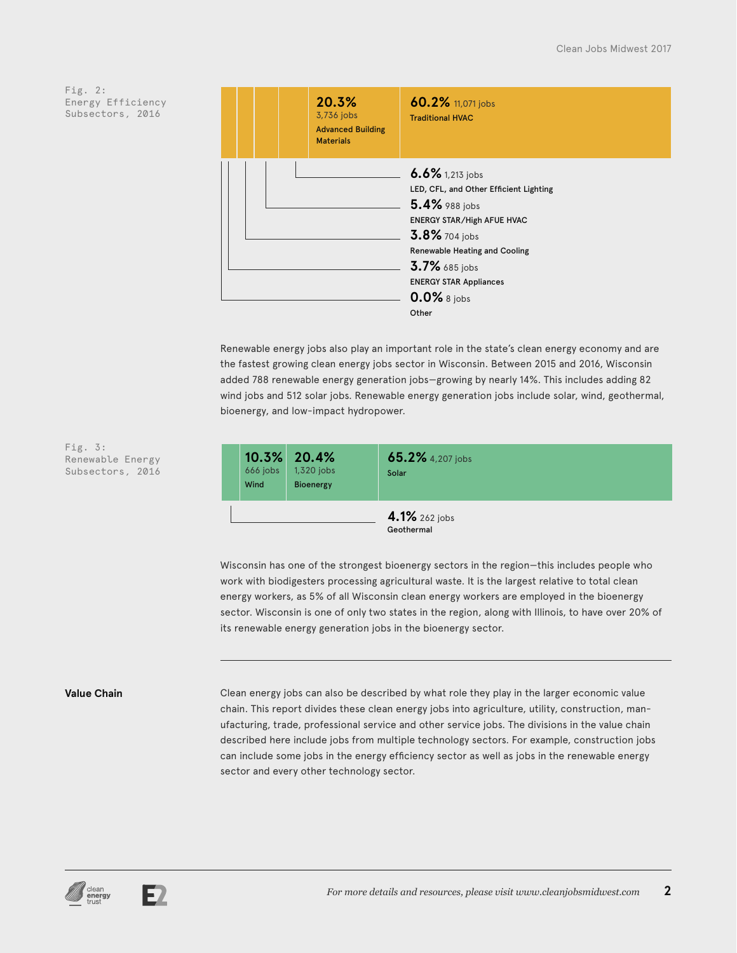

Renewable energy jobs also play an important role in the state's clean energy economy and are the fastest growing clean energy jobs sector in Wisconsin. Between 2015 and 2016, Wisconsin added 788 renewable energy generation jobs—growing by nearly 14%. This includes adding 82 wind jobs and 512 solar jobs. Renewable energy generation jobs include solar, wind, geothermal, bioenergy, and low-impact hydropower.



Wisconsin has one of the strongest bioenergy sectors in the region—this includes people who work with biodigesters processing agricultural waste. It is the largest relative to total clean energy workers, as 5% of all Wisconsin clean energy workers are employed in the bioenergy sector. Wisconsin is one of only two states in the region, along with Illinois, to have over 20% of its renewable energy generation jobs in the bioenergy sector.

Fig. 3:

Renewable Energy Subsectors, 2016

**Value Chain** Clean energy jobs can also be described by what role they play in the larger economic value chain. This report divides these clean energy jobs into agriculture, utility, construction, manufacturing, trade, professional service and other service jobs. The divisions in the value chain described here include jobs from multiple technology sectors. For example, construction jobs can include some jobs in the energy efficiency sector as well as jobs in the renewable energy sector and every other technology sector.